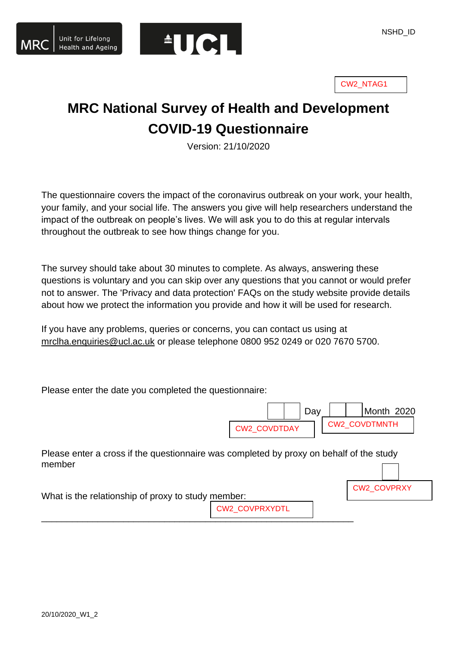

CW2\_NTAG1

# **MRC National Survey of Health and Development COVID-19 Questionnaire**

Version: 21/10/2020

The questionnaire covers the impact of the coronavirus outbreak on your work, your health, your family, and your social life. The answers you give will help researchers understand the impact of the outbreak on people's lives. We will ask you to do this at regular intervals throughout the outbreak to see how things change for you.

The survey should take about 30 minutes to complete. As always, answering these questions is voluntary and you can skip over any questions that you cannot or would prefer not to answer. The 'Privacy and data protection' FAQs on the study website provide details about how we protect the information you provide and how it will be used for research.

If you have any problems, queries or concerns, you can contact us using at [mrclha.enquiries@ucl.ac.uk](mailto:mrclha.enquiries@ucl.ac.uk) or please telephone 0800 952 0249 or 020 7670 5700.

Please enter the date you completed the questionnaire:



CW2\_COVPRXY

Please enter a cross if the questionnaire was completed by proxy on behalf of the study member

\_\_\_\_\_\_\_\_\_\_\_\_\_\_\_\_\_\_\_\_\_\_\_\_\_\_\_\_\_\_\_\_\_\_\_\_\_\_\_\_\_\_\_\_\_\_\_\_\_\_\_\_\_\_\_\_\_\_\_\_\_

| What is the relationship of proxy to study member: |                |  |
|----------------------------------------------------|----------------|--|
|                                                    | CW2_COVPRXYDTL |  |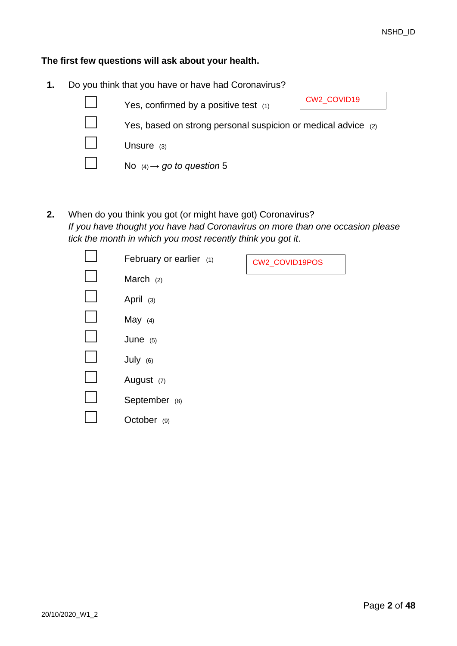#### **The first few questions will ask about your health.**

**1.** Do you think that you have or have had Coronavirus?



**2.** When do you think you got (or might have got) Coronavirus? *If you have thought you have had Coronavirus on more than one occasion please tick the month in which you most recently think you got it*.

| February or earlier $(1)$ | CW2_COVID19POS |
|---------------------------|----------------|
| March $(2)$               |                |
| April (3)                 |                |
| May $(4)$                 |                |
| June $(5)$                |                |
| July (6)                  |                |
| August (7)                |                |
| September (8)             |                |
| October (9)               |                |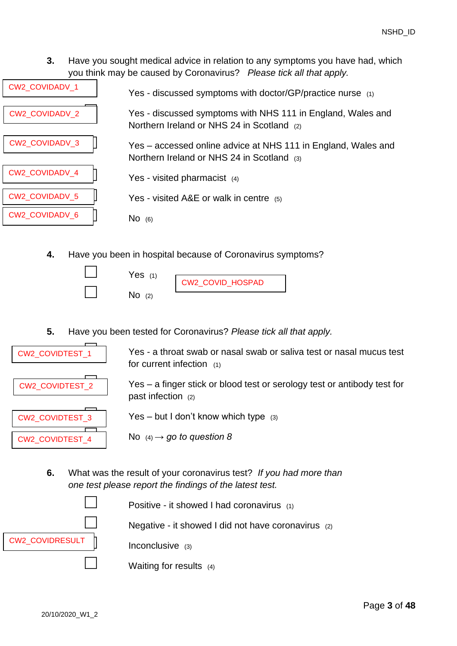**3.** Have you sought medical advice in relation to any symptoms you have had, which you think may be caused by Coronavirus? *Please tick all that apply.*

| CW2_COVIDADV_1        | Yes - discussed symptoms with doctor/GP/practice nurse (1)                                                  |
|-----------------------|-------------------------------------------------------------------------------------------------------------|
| <b>CW2 COVIDADV 2</b> | Yes - discussed symptoms with NHS 111 in England, Wales and<br>Northern Ireland or NHS 24 in Scotland (2)   |
| <b>CW2 COVIDADV 3</b> | Yes – accessed online advice at NHS 111 in England, Wales and<br>Northern Ireland or NHS 24 in Scotland (3) |
| <b>CW2 COVIDADV 4</b> | Yes - visited pharmacist $(4)$                                                                              |
| <b>CW2 COVIDADV 5</b> | Yes - visited A&E or walk in centre $(5)$                                                                   |
| CW2_COVIDADV_6        | $No$ (6)                                                                                                    |
|                       |                                                                                                             |

**4.** Have you been in hospital because of Coronavirus symptoms?

 $Yes$  (1)

 $No$  (2)

CW2\_COVID\_HOSPAD

<span id="page-2-0"></span>**5.** Have you been tested for Coronavirus? *Please tick all that apply.*



Yes - a throat swab or nasal swab or saliva test or nasal mucus test for current infection (1)

Yes – a finger stick or blood test or serology test or antibody test for past infection (2)

Yes – but I don't know which type  $(3)$ 

No  $(4) \rightarrow$  go to question [8](#page-3-0)

**6.** What was the result of your coronavirus test? *If you had more than one test please report the findings of the latest test.*

CW2\_COVIDRESULT

Positive - it showed I had coronavirus  $(1)$ 

Negative - it showed I did not have coronavirus  $(2)$ 

Inconclusive (3)

Waiting for results  $(4)$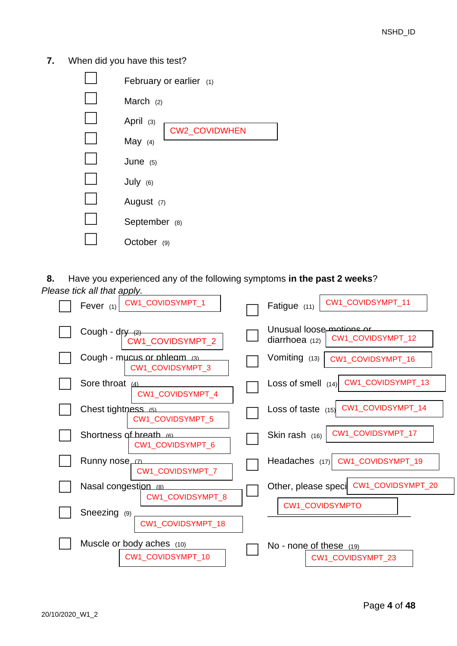**7.** When did you have this test?

| February or earlier $(1)$         |
|-----------------------------------|
| March $(2)$                       |
| April $(3)$                       |
| <b>CW2_COVIDWHEN</b><br>May $(4)$ |
| June $(5)$                        |
| July (6)                          |
| August (7)                        |
| September (8)                     |
| October (9)                       |

<span id="page-3-0"></span>**8.** Have you experienced any of the following symptoms **in the past 2 weeks**? *Please tick all that apply.*

| CW1_COVIDSYMPT_1                                | CW1_COVIDSYMPT_11                                                 |
|-------------------------------------------------|-------------------------------------------------------------------|
| Fever $(1)$                                     | Fatigue (11)                                                      |
| Cough - dr <del>y (2)</del><br>CW1_COVIDSYMPT_2 | Unusual loose motions or<br>CW1_COVIDSYMPT_12<br>diarrhoea $(12)$ |
| Cough - mucus or phleam (3)                     | Vomiting (13)                                                     |
| CW1_COVIDSYMPT_3                                | CW1_COVIDSYMPT_16                                                 |
| Sore throat (4)                                 | CW1_COVIDSYMPT_13                                                 |
| CW1_COVIDSYMPT_4                                | Loss of smell $(14)$                                              |
| Chest tightness (5)<br><b>CW1 COVIDSYMPT 5</b>  | Loss of taste (15) CW1_COVIDSYMPT_14                              |
| Shortness of breath (6)                         | CW1_COVIDSYMPT_17                                                 |
| CW1_COVIDSYMPT_6                                | Skin rash $(16)$                                                  |
| Runny nose <sub>L<sup>ZL</sup></sub>            | Headaches (17)                                                    |
| CW1 COVIDSYMPT 7                                | CW1_COVIDSYMPT_19                                                 |
| Nasal congestion (8)<br>CW1 COVIDSYMPT 8        | Other, please speci CW1_COVIDSYMPT_20                             |
| Sneezing<br>(9)<br>CW1 COVIDSYMPT 18            | <b>CW1 COVIDSYMPTO</b>                                            |
| Muscle or body aches (10)                       | No - none of these (19)                                           |
| CW1 COVIDSYMPT 10                               | CW1 COVIDSYMPT 23                                                 |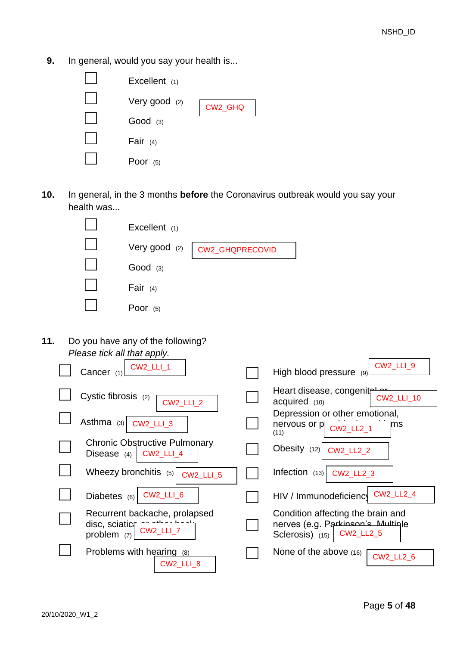**9.** In general, would you say your health is...



**10.** In general, in the 3 months **before** the Coronavirus outbreak would you say your health was...

| Excellent $(1)$ |                                 |
|-----------------|---------------------------------|
|                 | Very good (2)   CW2_GHQPRECOVID |
| $Good$ (3)      |                                 |
| Fair $(4)$      |                                 |
| Poor $(5)$      |                                 |

**11.** Do you have any of the following? *Please tick all that apply.*

| Ficase lick all that apply.                                                        |                                                                                                       |
|------------------------------------------------------------------------------------|-------------------------------------------------------------------------------------------------------|
| $CW2$ <sub>_LLI_1</sub><br>Cancer $(1)$                                            | CW2_LLI_9<br>High blood pressure (9)                                                                  |
| Cystic fibrosis (2)<br><b>CW2_LLI_2</b>                                            | Heart disease, congenitr<br><b>CW2_LLI_10</b><br>$acquired$ $(10)$                                    |
| Asthma $(3)$<br><b>CW2_LLI_3</b>                                                   | Depression or other emotional,<br>nervous or p cw2_LL2_1<br>ms<br>(11)                                |
| <b>Chronic Obstructive Pulmonary</b><br><b>CW2_LLI_4</b><br>Disease $(4)$          | Obesity (12) CW2_LL2_2                                                                                |
| Wheezy bronchitis $(5)$<br><b>CW2 LLI 5</b>                                        | Infection $(13)$<br><b>CW2_LL2_3</b>                                                                  |
| CW2_LLI_6<br>Diabetes $(6)$                                                        | <b>CW2_LL2_4</b><br>HIV / Immunodeficiency                                                            |
| Recurrent backache, prolapsed<br>disc, sciaticr<br><b>CW2_LLI_7</b><br>problem (7) | Condition affecting the brain and<br>nerves (e.g. Parkinson's Multinle<br>Sclerosis) (15)   CW2_LL2_5 |
| Problems with hearing (8)<br>CW2_LLI_8                                             | None of the above $(16)$<br><b>CW2_LL2_6</b>                                                          |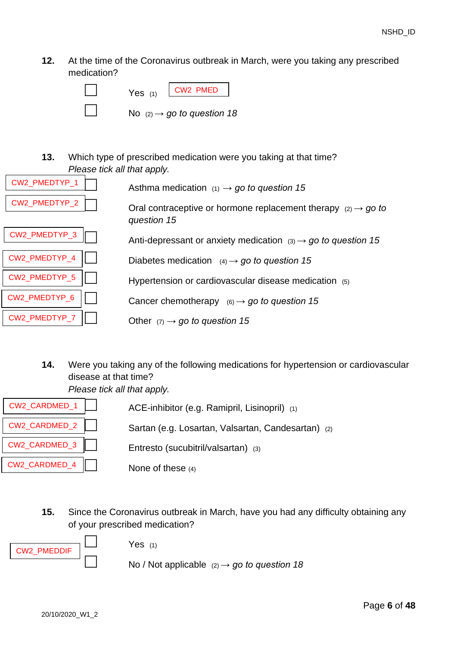**12.** At the time of the Coronavirus outbreak in March, were you taking any prescribed medication?



**13.** Which type of prescribed medication were you taking at that time? *Please tick all that apply.* 

| CW2_PMEDTYP_1 | Asthma medication $(1) \rightarrow go$ to question 15                                         |
|---------------|-----------------------------------------------------------------------------------------------|
| CW2 PMEDTYP 2 | Oral contraceptive or hormone replacement therapy $(2) \rightarrow g\sigma$ to<br>question 15 |
| CW2_PMEDTYP_3 | Anti-depressant or anxiety medication $(3) \rightarrow go$ to question 15                     |
| CW2_PMEDTYP_4 | Diabetes medication $(4) \rightarrow go$ to question 15                                       |
| CW2_PMEDTYP_5 | Hypertension or cardiovascular disease medication $(5)$                                       |
| CW2 PMEDTYP 6 | Cancer chemotherapy $(6) \rightarrow go$ to question 15                                       |
| CW2 PMEDTYP 7 | Other $(7) \rightarrow$ go to question 15                                                     |

**14.** Were you taking any of the following medications for hypertension or cardiovascular disease at that time?

*Please tick all that apply.* 



<span id="page-5-0"></span>**15.** Since the Coronavirus outbreak in March, have you had any difficulty obtaining any of your prescribed medication?



 $Yes$  (1)

No / Not applicable  $(2) \rightarrow go$  to question [18](#page-6-0)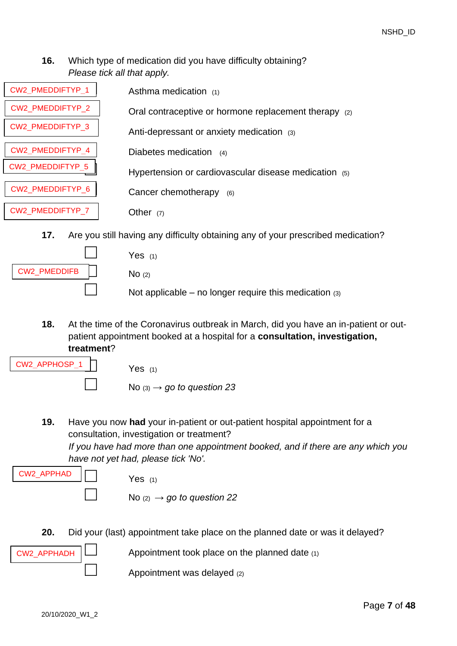# **16.** Which type of medication did you have difficulty obtaining? *Please tick all that apply.*

| CW2 PMEDDIFTYP 1 | Asthma medication (1)                                                            |
|------------------|----------------------------------------------------------------------------------|
| CW2 PMEDDIFTYP 2 | Oral contraceptive or hormone replacement therapy (2)                            |
| CW2 PMEDDIFTYP 3 | Anti-depressant or anxiety medication (3)                                        |
| CW2 PMEDDIFTYP 4 | Diabetes medication (4)                                                          |
| CW2_PMEDDIFTYP_5 | Hypertension or cardiovascular disease medication (5)                            |
| CW2_PMEDDIFTYP_6 | Cancer chemotherapy<br>(6)                                                       |
| CW2_PMEDDIFTYP_7 | Other $(7)$                                                                      |
| 17.              | Are you still having any difficulty obtaining any of your prescribed medication? |
|                  | Yes $(1)$                                                                        |

|              | וו כסו                                                   |
|--------------|----------------------------------------------------------|
| CW2_PMEDDIFB | NO(2)                                                    |
|              | Not applicable – no longer require this medication $(3)$ |

<span id="page-6-0"></span>**18.** At the time of the Coronavirus outbreak in March, did you have an in-patient or outpatient appointment booked at a hospital for a **consultation, investigation, treatment**?

| $CW2_APPHOSP_1$ | Yes $(1)$                              |
|-----------------|----------------------------------------|
|                 | No $(3) \rightarrow$ go to question 23 |

**19.** Have you now **had** your in-patient or out-patient hospital appointment for a consultation, investigation or treatment? *If you have had more than one appointment booked, and if there are any which you* 

*have not yet had, please tick 'No'.*   $Yes$  (1) No  $(2) \rightarrow$  go to question [22](#page-7-1) CW2\_APPHAD

**20.** Did your (last) appointment take place on the planned date or was it delayed?



```
Appointment was delayed (2)
```
CW2\_APPHADH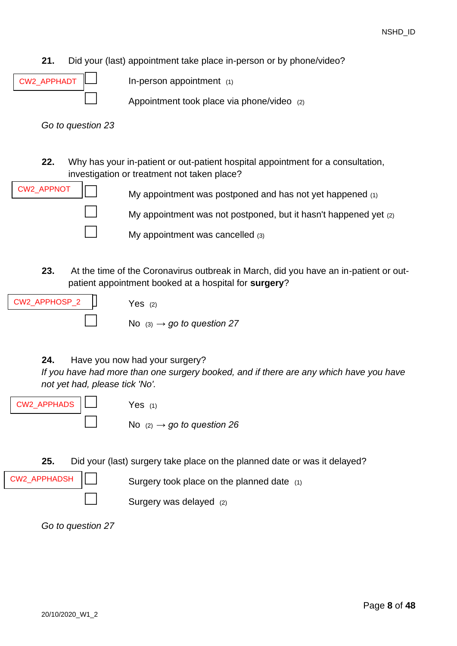- **21.** Did your (last) appointment take place in-person or by phone/video?
- CW2\_APPHADT

In-person appointment  $(1)$ 

Appointment took place via phone/video  $(2)$ 

*Go to question [23](#page-7-0)*

<span id="page-7-1"></span>**22.** Why has your in-patient or out-patient hospital appointment for a consultation, investigation or treatment not taken place?



My appointment was postponed and has not yet happened  $(1)$ 

My appointment was not postponed, but it hasn't happened yet (2)

My appointment was cancelled  $(3)$ 

<span id="page-7-0"></span>**23.** At the time of the Coronavirus outbreak in March, did you have an in-patient or outpatient appointment booked at a hospital for **surgery**?



**24.** Have you now had your surgery?

*If you have had more than one surgery booked, and if there are any which have you have not yet had, please tick 'No'.* 

CW2\_APPHADS

CW2\_APPHADSH

 $Yes$  (1)

No  $(2) \rightarrow go$  to question [26](#page-8-1)

**25.** Did your (last) surgery take place on the planned date or was it delayed?

Surgery took place on the planned date  $(1)$ 

Surgery was delayed  $(2)$ 

*Go to question [27](#page-8-0)*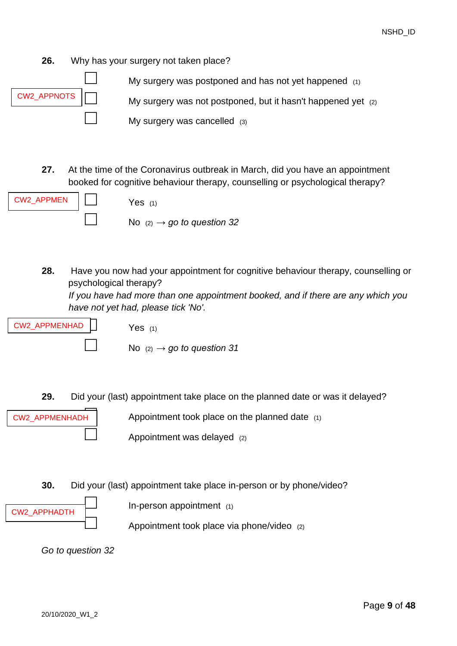<span id="page-8-1"></span>**26.** Why has your surgery not taken place?



<span id="page-8-0"></span>**27.** At the time of the Coronavirus outbreak in March, did you have an appointment booked for cognitive behaviour therapy, counselling or psychological therapy?



**28.** Have you now had your appointment for cognitive behaviour therapy, counselling or psychological therapy? *If you have had more than one appointment booked, and if there are any which you*

*have not yet had, please tick 'No'.* 



 $Yes$  (1)

No  $(2) \rightarrow q_0$  to question [31](#page-9-1)

**29.** Did your (last) appointment take place on the planned date or was it delayed?



Appointment took place on the planned date  $(1)$ 

- Appointment was delayed (2)
- **30.** Did your (last) appointment take place in-person or by phone/video?



In-person appointment  $(1)$ 

Appointment took place via phone/video (2)

*Go to question [32](#page-9-0)*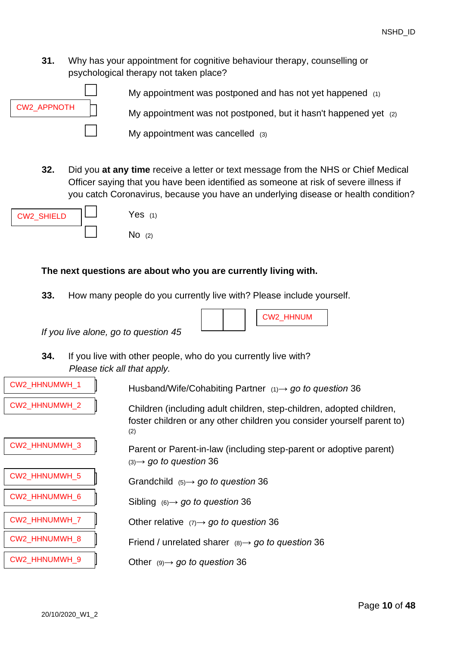<span id="page-9-1"></span>**31.** Why has your appointment for cognitive behaviour therapy, counselling or psychological therapy not taken place?



<span id="page-9-0"></span>**32.** Did you **at any time** receive a letter or text message from the NHS or Chief Medical Officer saying that you have been identified as someone at risk of severe illness if you catch Coronavirus, because you have an underlying disease or health condition?

CW2\_HHNUM



# **The next questions are about who you are currently living with.**

**33.** How many people do you currently live with? Please include yourself.

*If you live alone, go to question [45](#page-13-0)*

**34.** If you live with other people, who do you currently live with? *Please tick all that apply.*

| CW2_HHNUMWH_1        | Husband/Wife/Cohabiting Partner $(1) \rightarrow$ go to question 36                                                                                   |
|----------------------|-------------------------------------------------------------------------------------------------------------------------------------------------------|
| CW2_HHNUMWH_2        | Children (including adult children, step-children, adopted children,<br>foster children or any other children you consider yourself parent to)<br>(2) |
| CW2_HHNUMWH_3        | Parent or Parent-in-law (including step-parent or adoptive parent)<br>$(3) \rightarrow$ go to question 36                                             |
| <b>CW2 HHNUMWH 5</b> | Grandchild $(5) \rightarrow go$ to question 36                                                                                                        |
| CW2_HHNUMWH_6        | Sibling $(6) \rightarrow go$ to question 36                                                                                                           |
| CW2_HHNUMWH_7        | Other relative $(7) \rightarrow$ go to question 36                                                                                                    |
| CW2_HHNUMWH_8        | Friend / unrelated sharer $(8) \rightarrow$ go to question 36                                                                                         |
| CW2_HHNUMWH_9        | Other $(9) \rightarrow go$ to question 36                                                                                                             |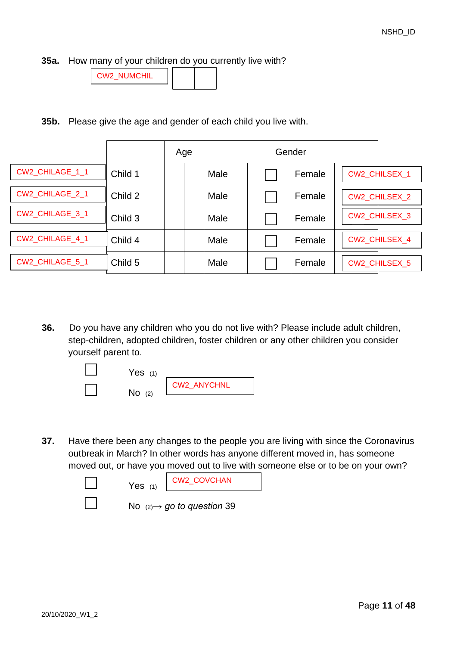**35a.** How many of your children do you currently live with?

| W2 NUMCHIL |  |  |
|------------|--|--|
|            |  |  |

**35b.** Please give the age and gender of each child you live with.

|                 |         | Age |      | Gender |                      |
|-----------------|---------|-----|------|--------|----------------------|
| CW2_CHILAGE_1_1 | Child 1 |     | Male | Female | <b>CW2 CHILSEX 1</b> |
| CW2_CHILAGE_2_1 | Child 2 |     | Male | Female | CW2_CHILSEX_2        |
| CW2_CHILAGE_3_1 | Child 3 |     | Male | Female | CW2_CHILSEX_3        |
| CW2_CHILAGE_4_1 | Child 4 |     | Male | Female | CW2 CHILSEX 4        |
| CW2_CHILAGE_5_1 | Child 5 |     | Male | Female | CW2_CHILSEX_5        |

<span id="page-10-0"></span>**36.** Do you have any children who you do not live with? Please include adult children, step-children, adopted children, foster children or any other children you consider yourself parent to.



**37.** Have there been any changes to the people you are living with since the Coronavirus outbreak in March? In other words has anyone different moved in, has someone moved out, or have you moved out to live with someone else or to be on your own?

| Yes $(1)$ | CW2_COVCHAN                            |
|-----------|----------------------------------------|
|           | No $(2) \rightarrow$ go to question 39 |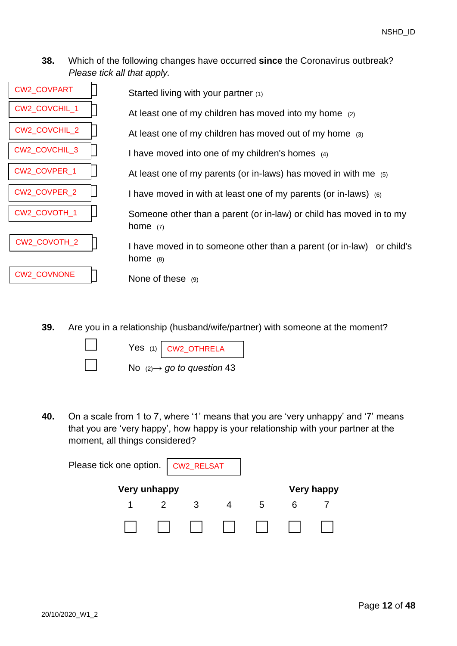## **38.** Which of the following changes have occurred **since** the Coronavirus outbreak? *Please tick all that apply.*

| CW2_COVPART   | Started living with your partner (1)                                                |
|---------------|-------------------------------------------------------------------------------------|
| CW2_COVCHIL_1 | At least one of my children has moved into my home (2)                              |
| CW2_COVCHIL_2 | At least one of my children has moved out of my home (3)                            |
| CW2_COVCHIL_3 | I have moved into one of my children's homes $(4)$                                  |
| CW2_COVPER_1  | At least one of my parents (or in-laws) has moved in with me $(5)$                  |
| CW2_COVPER_2  | I have moved in with at least one of my parents (or in-laws) (6)                    |
| CW2_COVOTH_1  | Someone other than a parent (or in-law) or child has moved in to my<br>home $(7)$   |
| CW2_COVOTH_2  | I have moved in to someone other than a parent (or in-law) or child's<br>home $(8)$ |
| CW2_COVNONE   | None of these $(9)$                                                                 |

<span id="page-11-0"></span>**39.** Are you in a relationship (husband/wife/partner) with someone at the moment?

|  | Yes $(1)$ CW2_OTHRELA                  |
|--|----------------------------------------|
|  | No $(2) \rightarrow$ go to question 43 |

**40.** On a scale from 1 to 7, where '1' means that you are 'very unhappy' and '7' means that you are 'very happy', how happy is your relationship with your partner at the moment, all things considered?

| Please tick one option.   CW2_RELSAT |              |  |    |                   |
|--------------------------------------|--------------|--|----|-------------------|
|                                      | Very unhappy |  |    | <b>Very happy</b> |
|                                      |              |  | .h |                   |
|                                      |              |  | 11 |                   |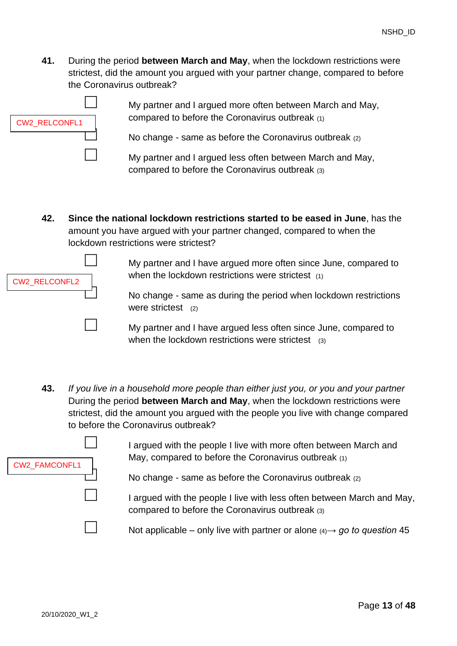**41.** During the period **between March and May**, when the lockdown restrictions were strictest, did the amount you argued with your partner change, compared to before the Coronavirus outbreak?



My partner and I argued more often between March and May, compared to before the Coronavirus outbreak (1)

No change - same as before the Coronavirus outbreak  $(2)$ 

My partner and I argued less often between March and May, compared to before the Coronavirus outbreak (3)

**42. Since the national lockdown restrictions started to be eased in June**, has the amount you have argued with your partner changed, compared to when the lockdown restrictions were strictest?

| <b>CW2 RELCONFL2</b> |  |
|----------------------|--|
|                      |  |

□ My partner and I have argued more often since June, compared to when the lockdown restrictions were strictest (1)

> No change - same as during the period when lockdown restrictions were strictest (2)

My partner and I have argued less often since June, compared to when the lockdown restrictions were strictest (3)

<span id="page-12-0"></span>**43.** *If you live in a household more people than either just you, or you and your partner* During the period **between March and May**, when the lockdown restrictions were strictest, did the amount you argued with the people you live with change compared to before the Coronavirus outbreak?

| CW2_FAMCONFL1 |  |
|---------------|--|
|               |  |
|               |  |

I argued with the people I live with more often between March and May, compared to before the Coronavirus outbreak (1)

No change - same as before the Coronavirus outbreak  $(2)$ 

I argued with the people I live with less often between March and May, compared to before the Coronavirus outbreak (3)

Not applicable – only live with partner or alone  $(4) \rightarrow 90$  to question [45](#page-13-0)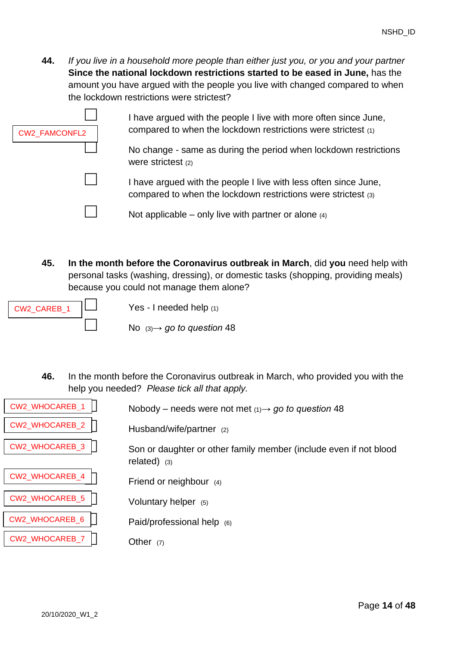**44.** *If you live in a household more people than either just you, or you and your partner* **Since the national lockdown restrictions started to be eased in June,** has the amount you have argued with the people you live with changed compared to when the lockdown restrictions were strictest?

| <b>CW2 FAMCONFL2</b> | I have argued with the people I live with more often since June,<br>compared to when the lockdown restrictions were strictest (1)<br>No change - same as during the period when lockdown restrictions |
|----------------------|-------------------------------------------------------------------------------------------------------------------------------------------------------------------------------------------------------|
|                      | were strictest (2)                                                                                                                                                                                    |
|                      | I have argued with the people I live with less often since June,<br>compared to when the lockdown restrictions were strictest (3)                                                                     |
|                      | Not applicable – only live with partner or alone $(4)$                                                                                                                                                |

<span id="page-13-0"></span>**45. In the month before the Coronavirus outbreak in March**, did **you** need help with personal tasks (washing, dressing), or domestic tasks (shopping, providing meals) because you could not manage them alone?

| CW2 CAREB 1 |  |
|-------------|--|
|             |  |

Yes - I needed help (1)

□ No (3)*→ go to question* [48](#page-14-0)

**46.** In the month before the Coronavirus outbreak in March, who provided you with the help you needed? *Please tick all that apply.*

| <b>CW2 WHOCAREB 1</b> | Nobody – needs were not met $(1) \rightarrow g_0$ to question 48                    |
|-----------------------|-------------------------------------------------------------------------------------|
| <b>CW2 WHOCAREB 2</b> | Husband/wife/partner (2)                                                            |
| <b>CW2 WHOCAREB 3</b> | Son or daughter or other family member (include even if not blood<br>related) $(3)$ |
| CW2_WHOCAREB_4        | Friend or neighbour (4)                                                             |
| CW2_WHOCAREB_5        | Voluntary helper (5)                                                                |
| CW2_WHOCAREB_6        | Paid/professional help (6)                                                          |
| <b>CW2 WHOCAREB 7</b> | Other $(7)$                                                                         |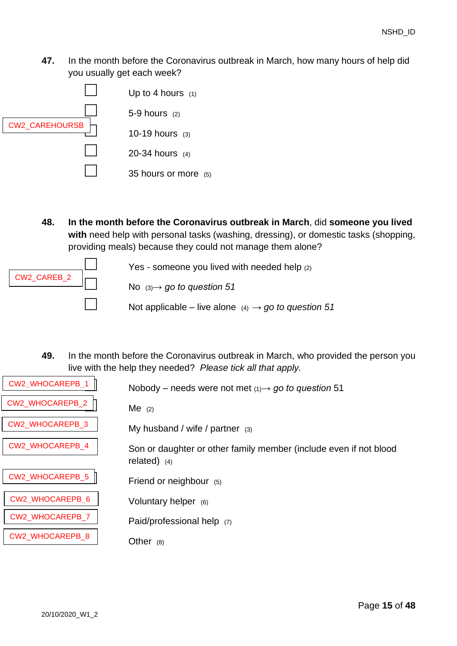**47.** In the month before the Coronavirus outbreak in March, how many hours of help did you usually get each week?



<span id="page-14-0"></span>**48. In the month before the Coronavirus outbreak in March**, did **someone you lived with** need help with personal tasks (washing, dressing), or domestic tasks (shopping, providing meals) because they could not manage them alone?



**49.** In the month before the Coronavirus outbreak in March, who provided the person you live with the help they needed? *Please tick all that apply.*

| CW2_WHOCAREPB_1 | Nobody – needs were not met $(1) \rightarrow g\sigma$ to question 51                |
|-----------------|-------------------------------------------------------------------------------------|
| CW2_WHOCAREPB_2 | $Me$ (2)                                                                            |
| CW2_WHOCAREPB_3 | My husband / wife / partner $(3)$                                                   |
| CW2_WHOCAREPB_4 | Son or daughter or other family member (include even if not blood<br>related) $(4)$ |
| CW2_WHOCAREPB_5 | Friend or neighbour (5)                                                             |
| CW2_WHOCAREPB_6 | Voluntary helper (6)                                                                |
| CW2_WHOCAREPB_7 | Paid/professional help (7)                                                          |
| CW2_WHOCAREPB_8 | Other<br>(8)                                                                        |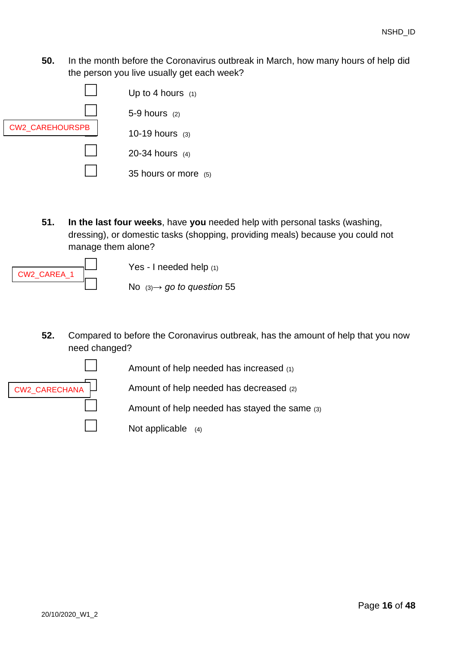**50.** In the month before the Coronavirus outbreak in March, how many hours of help did the person you live usually get each week?



<span id="page-15-0"></span>**51. In the last four weeks**, have **you** needed help with personal tasks (washing, dressing), or domestic tasks (shopping, providing meals) because you could not manage them alone?



Yes - I needed help  $(1)$ 

□ No (3)*→ go to question* [55](#page-16-0)

**52.** Compared to before the Coronavirus outbreak, has the amount of help that you now need changed?



Amount of help needed has increased (1)

Amount of help needed has decreased  $(2)$ 

Amount of help needed has stayed the same  $(3)$ 



Not applicable  $(4)$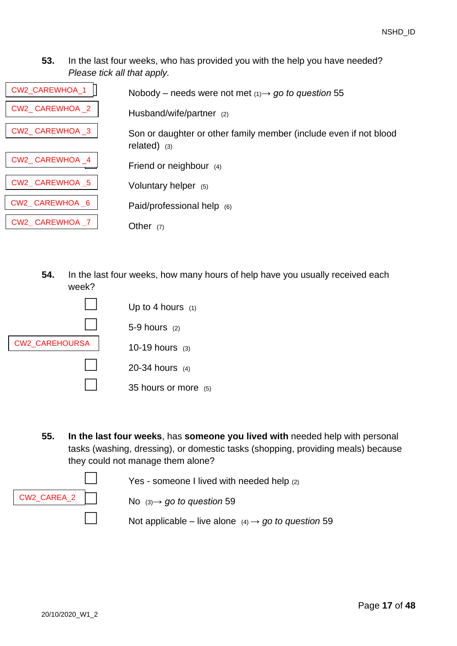**53.** In the last four weeks, who has provided you with the help you have needed? *Please tick all that apply.*

| <b>CW2 CAREWHOA 1</b> | Nobody – needs were not met $(1) \rightarrow go$ to question 55                     |
|-----------------------|-------------------------------------------------------------------------------------|
| CW2 CAREWHOA 2        | Husband/wife/partner (2)                                                            |
| CW2 CAREWHOA 3        | Son or daughter or other family member (include even if not blood<br>related) $(3)$ |
| CW2 CAREWHOA 4        | Friend or neighbour (4)                                                             |
| CW2 CAREWHOA 5        | Voluntary helper (5)                                                                |
| CW2 CAREWHOA 6        | Paid/professional help (6)                                                          |
| CW2 CAREWHOA 7        | Other $(7)$                                                                         |

**54.** In the last four weeks, how many hours of help have you usually received each week?



<span id="page-16-0"></span>**55. In the last four weeks**, has **someone you lived with** needed help with personal tasks (washing, dressing), or domestic tasks (shopping, providing meals) because they could not manage them alone?



Yes - someone I lived with needed help (2)

Not applicable – live alone  $(4) \rightarrow go$  to question [59](#page-18-0)

□ No (3)*→ go to question* [59](#page-18-0)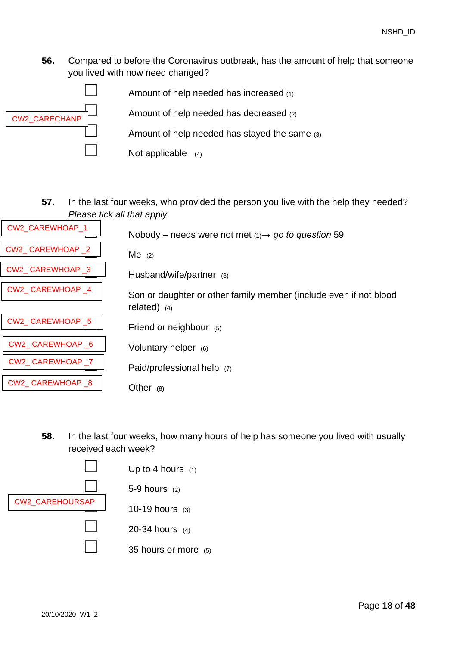**56.** Compared to before the Coronavirus outbreak, has the amount of help that someone you lived with now need changed?



**57.** In the last four weeks, who provided the person you live with the help they needed? *Please tick all that apply.*

| CW2_CAREWHOAP_1 | Nobody – needs were not met $(1) \rightarrow g_0$ to question 59  |
|-----------------|-------------------------------------------------------------------|
| CW2 CAREWHOAP 2 | $Me$ (2)                                                          |
| CW2_CAREWHOAP_3 | Husband/wife/partner (3)                                          |
| CW2 CAREWHOAP 4 | Son or daughter or other family member (include even if not blood |
|                 | related) $(4)$                                                    |
| CW2_CAREWHOAP_5 | Friend or neighbour $(5)$                                         |
| CW2_CAREWHOAP_6 | Voluntary helper (6)                                              |
| CW2 CAREWHOAP 7 | Paid/professional help (7)                                        |
| CW2_CAREWHOAP_8 | Other $(8)$                                                       |

**58.** In the last four weeks, how many hours of help has someone you lived with usually received each week?

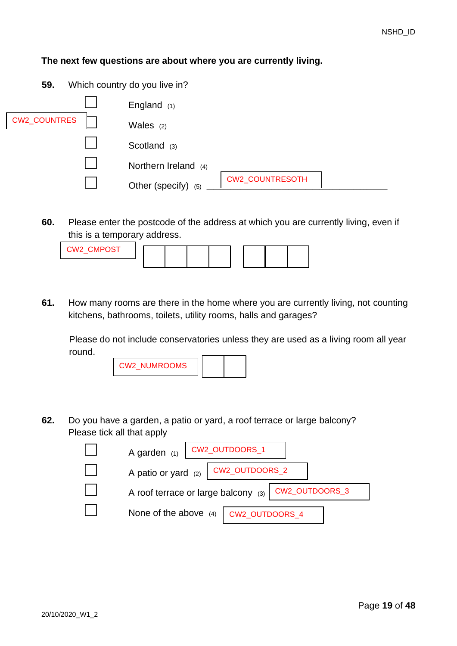#### **The next few questions are about where you are currently living.**

<span id="page-18-0"></span>**59.** Which country do you live in?

|                     | England $(1)$        |                 |  |
|---------------------|----------------------|-----------------|--|
| <b>CW2_COUNTRES</b> | Wales $(2)$          |                 |  |
|                     | Scotland (3)         |                 |  |
|                     | Northern Ireland (4) |                 |  |
|                     | Other (specify) (5)  | CW2_COUNTRESOTH |  |

**60.** Please enter the postcode of the address at which you are currently living, even if this is a temporary address.

| $O(100 \Omega)$<br>:WC<br>. |  |  |  |  |
|-----------------------------|--|--|--|--|
|                             |  |  |  |  |

**61.** How many rooms are there in the home where you are currently living, not counting kitchens, bathrooms, toilets, utility rooms, halls and garages?

Please do not include conservatories unless they are used as a living room all year round.

| 'W2 NUMROOMS<br>. . |  |  |
|---------------------|--|--|
|---------------------|--|--|

**62.** Do you have a garden, a patio or yard, a roof terrace or large balcony? Please tick all that apply

| A garden $(1)$<br>CW2_OUTDOORS_1                     |
|------------------------------------------------------|
| CW2_OUTDOORS_2<br>A patio or yard $(2)$              |
| A roof terrace or large balcony (3)   CW2_OUTDOORS_3 |
| None of the above (4)   CW2_OUTDOORS_4               |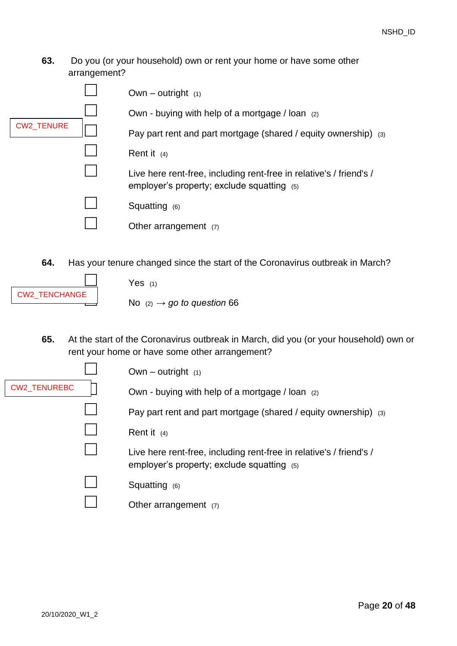### **63.** Do you (or your household) own or rent your home or have some other arrangement?

|                   | Own – outright $(1)$                                                                                                |
|-------------------|---------------------------------------------------------------------------------------------------------------------|
|                   | Own - buying with help of a mortgage / loan (2)                                                                     |
| <b>CW2_TENURE</b> | Pay part rent and part mortgage (shared / equity ownership) (3)                                                     |
|                   | Rent it $(4)$                                                                                                       |
|                   | Live here rent-free, including rent-free in relative's / friend's /<br>employer's property; exclude squatting $(5)$ |
|                   | Squatting (6)                                                                                                       |
|                   | Other arrangement $(7)$                                                                                             |
|                   |                                                                                                                     |

**64.** Has your tenure changed since the start of the Coronavirus outbreak in March?



Yes  $(1)$ 

No  $(2) \rightarrow go$  to question [66](#page-20-0)

**65.** At the start of the Coronavirus outbreak in March, did you (or your household) own or rent your home or have some other arrangement?

|                     | Own – outright $(1)$                                                                                                |
|---------------------|---------------------------------------------------------------------------------------------------------------------|
| <b>CW2 TENUREBC</b> | Own - buying with help of a mortgage / loan (2)                                                                     |
|                     | Pay part rent and part mortgage (shared / equity ownership) (3)                                                     |
|                     | Rent it $(4)$                                                                                                       |
|                     | Live here rent-free, including rent-free in relative's / friend's /<br>employer's property; exclude squatting $(5)$ |
|                     | Squatting $(6)$                                                                                                     |
|                     | Other arrangement $(7)$                                                                                             |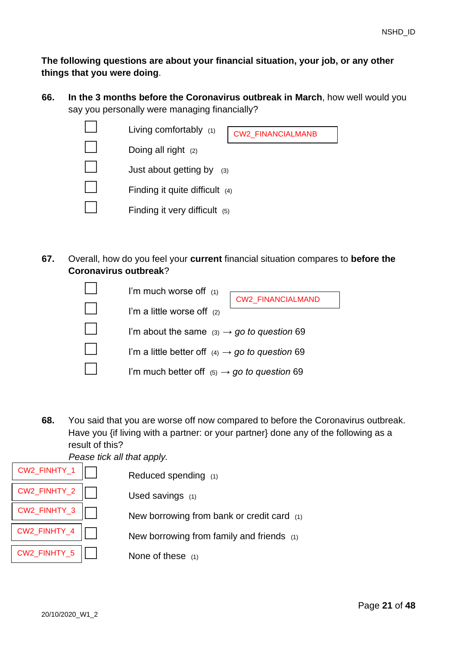**The following questions are about your financial situation, your job, or any other things that you were doing**.

<span id="page-20-0"></span>**66. In the 3 months before the Coronavirus outbreak in March**, how well would you say you personally were managing financially?

| Living comfortably (1)           | CW2_FINANCIALMANB |
|----------------------------------|-------------------|
| Doing all right $(2)$            |                   |
| Just about getting by<br>(3)     |                   |
| Finding it quite difficult $(4)$ |                   |
| Finding it very difficult (5)    |                   |
|                                  |                   |

**67.** Overall, how do you feel your **current** financial situation compares to **before the Coronavirus outbreak**?

| I'm much worse off (1)                                      |
|-------------------------------------------------------------|
| CW2_FINANCIALMAND                                           |
| I'm a little worse off (2)                                  |
| I'm about the same $(3) \rightarrow$ go to question 69      |
| I'm a little better off $(4) \rightarrow go$ to question 69 |
| I'm much better off $(5) \rightarrow go$ to question 69     |

**68.** You said that you are worse off now compared to before the Coronavirus outbreak. Have you {if living with a partner: or your partner} done any of the following as a result of this?

*Pease tick all that apply.*

| CW2_FINHTY_1 | Reduced spending (1)                       |
|--------------|--------------------------------------------|
| CW2_FINHTY_2 | Used savings (1)                           |
| CW2_FINHTY_3 | New borrowing from bank or credit card (1) |
| CW2_FINHTY_4 | New borrowing from family and friends (1)  |
| CW2_FINHTY_5 | None of these $(1)$                        |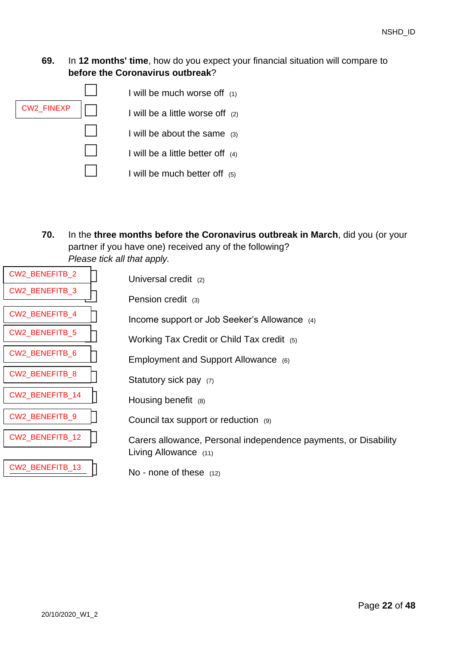## <span id="page-21-0"></span>**69.** In **12 months' time**, how do you expect your financial situation will compare to **before the Coronavirus outbreak**?



**70.** In the **three months before the Coronavirus outbreak in March**, did you (or your partner if you have one) received any of the following? *Please tick all that apply.*

| CW2_BENEFITB_2  | Universal credit (2)                                                                     |
|-----------------|------------------------------------------------------------------------------------------|
| CW2_BENEFITB_3  | Pension credit (3)                                                                       |
| CW2_BENEFITB_4  | Income support or Job Seeker's Allowance (4)                                             |
| CW2_BENEFITB_5  | Working Tax Credit or Child Tax credit (5)                                               |
| CW2_BENEFITB_6  | Employment and Support Allowance (6)                                                     |
| CW2_BENEFITB_8  | Statutory sick pay (7)                                                                   |
| CW2_BENEFITB_14 | Housing benefit (8)                                                                      |
| CW2_BENEFITB_9  | Council tax support or reduction (9)                                                     |
| CW2_BENEFITB_12 | Carers allowance, Personal independence payments, or Disability<br>Living Allowance (11) |
| CW2_BENEFITB_13 | No - none of these $(12)$                                                                |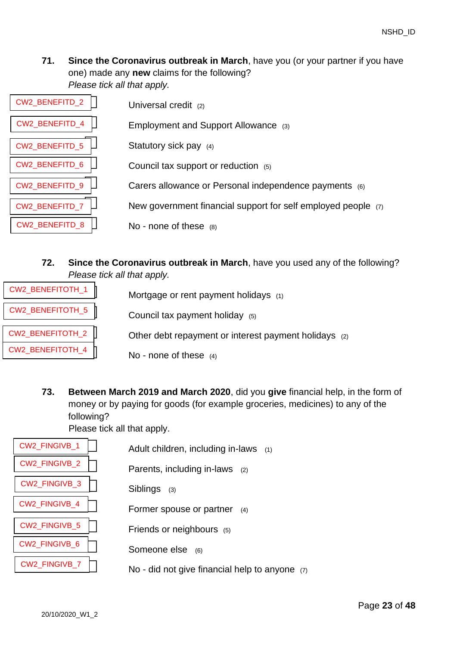**71. Since the Coronavirus outbreak in March**, have you (or your partner if you have one) made any **new** claims for the following? *Please tick all that apply.*

| CW2_BENEFITD_2        | Universal credit (2)                                          |
|-----------------------|---------------------------------------------------------------|
| CW2_BENEFITD_4        | Employment and Support Allowance (3)                          |
| <b>CW2 BENEFITD 5</b> | Statutory sick pay $(4)$                                      |
| CW2 BENEFITD 6        | Council tax support or reduction (5)                          |
| CW2_BENEFITD_9        | Carers allowance or Personal independence payments (6)        |
| CW2_BENEFITD_7        | New government financial support for self employed people (7) |
| <b>CW2 BENEFITD 8</b> | No - none of these $(8)$                                      |

# **72. Since the Coronavirus outbreak in March**, have you used any of the following? *Please tick all that apply.*

| CW2_BENEFITOTH_1 | Mortgage or rent payment holidays (1)                 |
|------------------|-------------------------------------------------------|
| CW2_BENEFITOTH_5 | Council tax payment holiday (5)                       |
| CW2_BENEFITOTH_2 | Other debt repayment or interest payment holidays (2) |
| CW2_BENEFITOTH_4 | No - none of these $(4)$                              |

**73. Between March 2019 and March 2020**, did you **give** financial help, in the form of money or by paying for goods (for example groceries, medicines) to any of the following?

Please tick all that apply.

| <b>CW2 FINGIVB 1</b> | Adult children, including in-laws (1)            |
|----------------------|--------------------------------------------------|
| <b>CW2 FINGIVB 2</b> | Parents, including in-laws $(2)$                 |
| <b>CW2 FINGIVB 3</b> | Siblings<br>(3)                                  |
| <b>CW2 FINGIVB 4</b> | Former spouse or partner<br>(4)                  |
| <b>CW2 FINGIVB 5</b> | Friends or neighbours (5)                        |
| <b>CW2 FINGIVB 6</b> | Someone else<br>(6)                              |
| CW2_FINGIVB_7        | No - did not give financial help to anyone $(7)$ |
|                      |                                                  |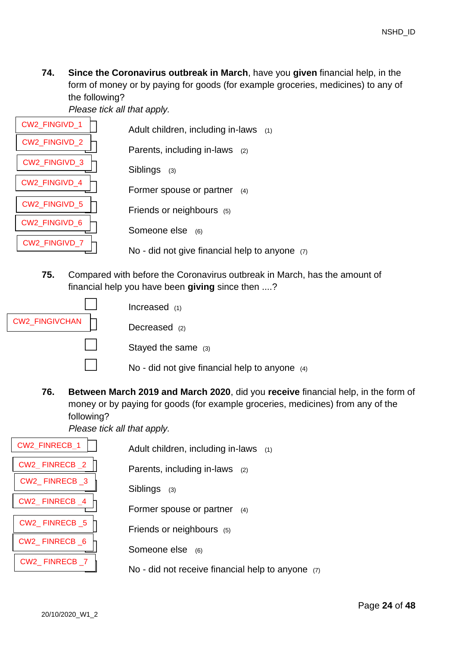**74. Since the Coronavirus outbreak in March**, have you **given** financial help, in the form of money or by paying for goods (for example groceries, medicines) to any of the following?

*Please tick all that apply.* 

| <b>CW2 FINGIVD 1</b> | Adult children, including in-laws $(1)$          |
|----------------------|--------------------------------------------------|
| <b>CW2 FINGIVD 2</b> | Parents, including in-laws $(2)$                 |
| <b>CW2 FINGIVD 3</b> | <b>Siblings</b><br>(3)                           |
| <b>CW2 FINGIVD 4</b> | Former spouse or partner $(4)$                   |
| <b>CW2 FINGIVD 5</b> | Friends or neighbours (5)                        |
| CW2 FINGIVD 6        | Someone else (6)                                 |
| CW2_FINGIVD_7        | No - did not give financial help to anyone $(7)$ |

**75.** Compared with before the Coronavirus outbreak in March, has the amount of financial help you have been **giving** since then ....?



**76. Between March 2019 and March 2020**, did you **receive** financial help, in the form of money or by paying for goods (for example groceries, medicines) from any of the following?

*Please tick all that apply.*

| <b>CW2 FINRECB 1</b> | Adult children, including in-laws $(1)$             |
|----------------------|-----------------------------------------------------|
| CW2_FINRECB_2        | Parents, including in-laws $(2)$                    |
| CW2 FINRECB 3        | Siblings<br>(3)                                     |
| CW2 FINRECB 4        | Former spouse or partner<br>(4)                     |
| CW2 FINRECB 5        | Friends or neighbours (5)                           |
| CW2 FINRECB 6        | Someone else<br>(6)                                 |
| CW2 FINRECB 7        | No - did not receive financial help to anyone $(7)$ |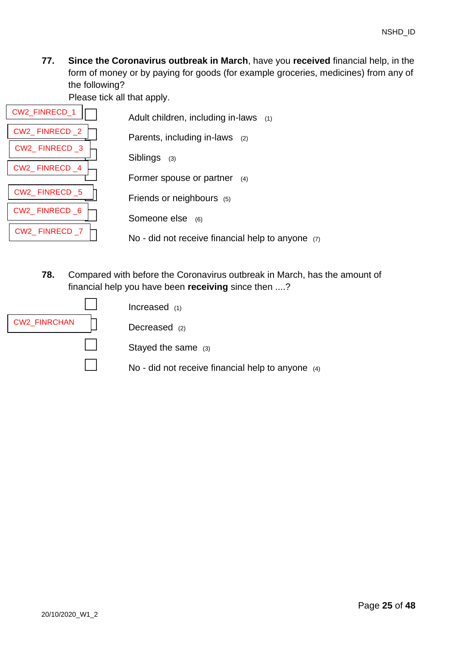**77. Since the Coronavirus outbreak in March**, have you **received** financial help, in the form of money or by paying for goods (for example groceries, medicines) from any of the following?

Please tick all that apply.

| <b>CW2 FINRECD 1</b> | Adult children, including in-laws (1)               |
|----------------------|-----------------------------------------------------|
| CW2 FINRECD 2        | Parents, including in-laws $(2)$                    |
| CW2 FINRECD 3        |                                                     |
| CW2 FINRECD 4        | <b>Siblings</b><br>(3)                              |
|                      | Former spouse or partner<br>(4)                     |
| CW2 FINRECD 5        | Friends or neighbours (5)                           |
| CW2 FINRECD 6        | Someone else                                        |
| CW2 FINRECD 7        | (6)                                                 |
|                      | No - did not receive financial help to anyone $(7)$ |

**78.** Compared with before the Coronavirus outbreak in March, has the amount of financial help you have been **receiving** since then ....?

|                     | Increased $(1)$                                     |
|---------------------|-----------------------------------------------------|
| <b>CW2_FINRCHAN</b> | Decreased $(2)$                                     |
|                     | Stayed the same (3)                                 |
|                     | No - did not receive financial help to anyone $(4)$ |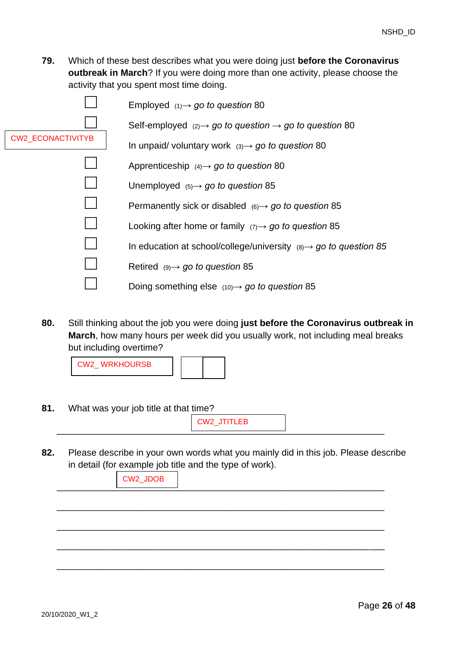**79.** Which of these best describes what you were doing just **before the Coronavirus outbreak in March**? If you were doing more than one activity, please choose the activity that you spent most time doing.

|                          | Employed $(1) \rightarrow go$ to question 80                                   |
|--------------------------|--------------------------------------------------------------------------------|
|                          | Self-employed $(2) \rightarrow go$ to question $\rightarrow go$ to question 80 |
| <b>CW2_ECONACTIVITYB</b> | In unpaid/voluntary work $(3) \rightarrow g\sigma$ to question 80              |
|                          | Apprenticeship $(4) \rightarrow$ go to question 80                             |
|                          | Unemployed $(5) \rightarrow$ go to question 85                                 |
|                          | Permanently sick or disabled $(6) \rightarrow go$ to question 85               |
|                          | Looking after home or family $(7) \rightarrow$ go to question 85               |
|                          | In education at school/college/university $(8) \rightarrow$ go to question 85  |
|                          | Retired $(9) \rightarrow go$ to question 85                                    |
|                          | Doing something else $(10) \rightarrow$ go to question 85                      |

<span id="page-25-0"></span>**80.** Still thinking about the job you were doing **just before the Coronavirus outbreak in March**, how many hours per week did you usually work, not including meal breaks but including overtime?



**81.** What was your job title at that time?

\_\_\_\_\_\_\_\_\_\_\_\_\_\_\_\_\_\_\_\_\_\_\_\_\_\_\_\_\_\_\_\_\_\_\_\_\_\_\_\_\_\_\_\_\_\_\_\_\_\_\_\_\_\_\_\_\_\_\_\_\_\_\_\_ CW2\_JTITLEB

**82.** Please describe in your own words what you mainly did in this job. Please describe in detail (for example job title and the type of work).

| CW2_JDOB |  |  |
|----------|--|--|
|          |  |  |
|          |  |  |
|          |  |  |
|          |  |  |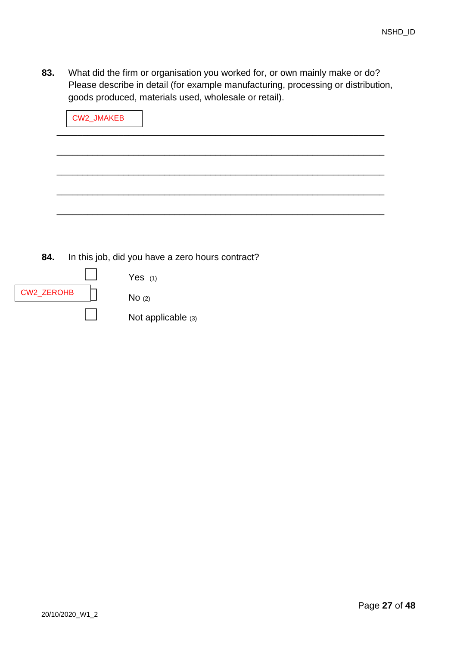**83.** What did the firm or organisation you worked for, or own mainly make or do? Please describe in detail (for example manufacturing, processing or distribution, goods produced, materials used, wholesale or retail).

| CW2_JMAKEB |  |  |
|------------|--|--|
|            |  |  |
|            |  |  |
|            |  |  |
|            |  |  |

**84.** In this job, did you have a zero hours contract?

|                   | Yes $(1)$          |
|-------------------|--------------------|
| <b>CW2_ZEROHB</b> | No(2)              |
|                   | Not applicable (3) |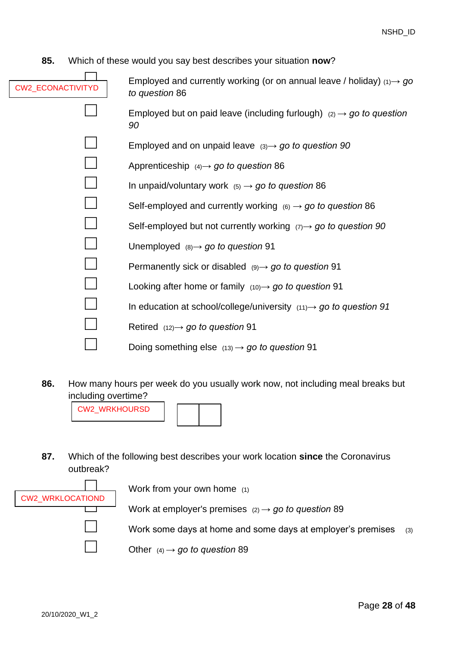<span id="page-27-0"></span>**85.** Which of these would you say best describes your situation **now**?

| <b>CW2 ECONACTIVITYD</b> | Employed and currently working (or on annual leave / holiday) $(1) \rightarrow g\sigma$<br>to question 86 |
|--------------------------|-----------------------------------------------------------------------------------------------------------|
|                          | Employed but on paid leave (including furlough) $(2) \rightarrow g\sigma$ to question<br>90               |
|                          | Employed and on unpaid leave $(3) \rightarrow g\sigma$ to question 90                                     |
|                          | Apprenticeship $(4) \rightarrow$ go to question 86                                                        |
|                          | In unpaid/voluntary work $(5) \rightarrow go$ to question 86                                              |
|                          | Self-employed and currently working $(6) \rightarrow$ go to question 86                                   |
|                          | Self-employed but not currently working $(7) \rightarrow$ go to question 90                               |
|                          | Unemployed $(8) \rightarrow$ go to question 91                                                            |
|                          | Permanently sick or disabled $(9) \rightarrow go$ to question 91                                          |
|                          | Looking after home or family $(10) \rightarrow$ go to question 91                                         |
|                          | In education at school/college/university $(11) \rightarrow$ go to question 91                            |
|                          | Retired $(12) \rightarrow$ go to question 91                                                              |
|                          | Doing something else $(13) \rightarrow$ go to question 91                                                 |
|                          |                                                                                                           |

<span id="page-27-1"></span>**86.** How many hours per week do you usually work now, not including meal breaks but including overtime?



**87.** Which of the following best describes your work location **since** the Coronavirus outbreak?



Work from your own home (1)

□ Work at employer's premises (2) *→ go to question* [89](#page-28-1)

Work some days at home and some days at employer's premises (3)

Other  $(4) \rightarrow go$  to question [89](#page-28-1)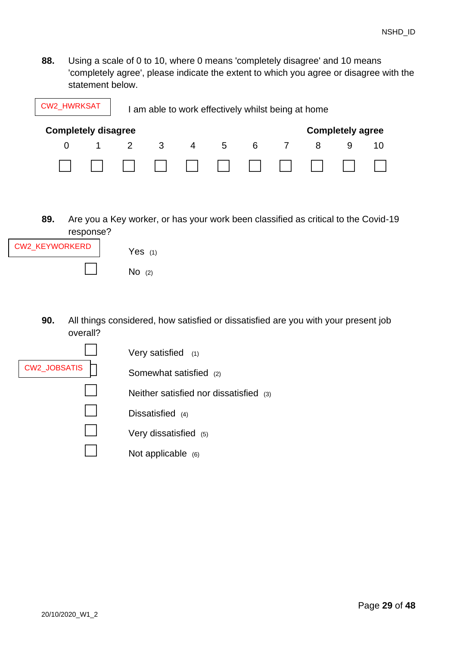**88.** Using a scale of 0 to 10, where 0 means 'completely disagree' and 10 means 'completely agree', please indicate the extent to which you agree or disagree with the statement below.

| <b>CW2_HWRKSAT</b>                                    |  | I am able to work effectively whilst being at home |   |                |   |   |                |  |  |    |
|-------------------------------------------------------|--|----------------------------------------------------|---|----------------|---|---|----------------|--|--|----|
| <b>Completely disagree</b><br><b>Completely agree</b> |  |                                                    |   |                |   |   |                |  |  |    |
|                                                       |  | $\overline{2}$                                     | 3 | $\overline{4}$ | 5 | 6 | $\overline{7}$ |  |  | 10 |
|                                                       |  |                                                    |   |                |   |   |                |  |  |    |

<span id="page-28-1"></span>**89.** Are you a Key worker, or has your work been classified as critical to the Covid-19 response?



<span id="page-28-0"></span>**90.** All things considered, how satisfied or dissatisfied are you with your present job overall?

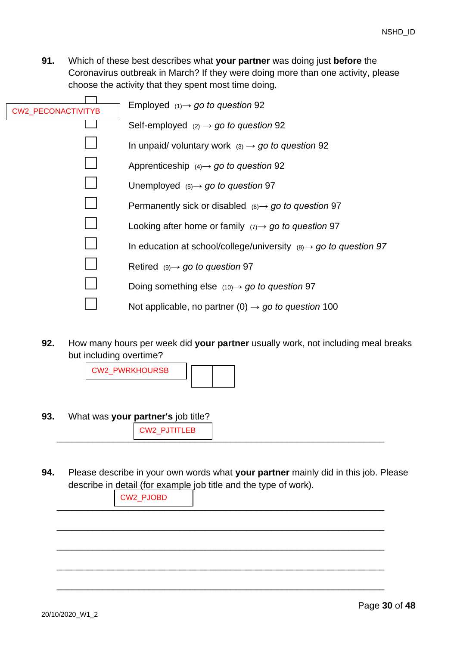<span id="page-29-0"></span>**91.** Which of these best describes what **your partner** was doing just **before** the Coronavirus outbreak in March? If they were doing more than one activity, please choose the activity that they spent most time doing.

| CW2_PECONACTIVITYB | Employed $(1) \rightarrow go$ to question 92                                  |
|--------------------|-------------------------------------------------------------------------------|
|                    | Self-employed $(2) \rightarrow go$ to question 92                             |
|                    | In unpaid/voluntary work $(3) \rightarrow go$ to question 92                  |
|                    | Apprenticeship $(4) \rightarrow$ go to question 92                            |
|                    | Unemployed $(5) \rightarrow$ go to question 97                                |
|                    | Permanently sick or disabled $(6) \rightarrow$ go to question 97              |
|                    | Looking after home or family $(7) \rightarrow g\sigma$ to question 97         |
|                    | In education at school/college/university $(8) \rightarrow$ go to question 97 |
|                    | Retired $(9) \rightarrow go$ to question 97                                   |
|                    | Doing something else $(10) \rightarrow$ go to question 97                     |
|                    | Not applicable, no partner (0) $\rightarrow$ go to question 100               |

<span id="page-29-1"></span>**92.** How many hours per week did **your partner** usually work, not including meal breaks but including overtime?

CW2\_PWRKHOURSB

**93.** What was **your partner's** job title?

\_\_\_\_\_\_\_\_\_\_\_\_\_\_\_\_\_\_\_\_\_\_\_\_\_\_\_\_\_\_\_\_\_\_\_\_\_\_\_\_\_\_\_\_\_\_\_\_\_\_\_\_\_\_\_\_\_\_\_\_\_\_\_\_ CW2\_PJTITLEB

**94.** Please describe in your own words what **your partner** mainly did in this job. Please describe in detail (for example job title and the type of work).

\_\_\_\_\_\_\_\_\_\_\_\_\_\_\_\_\_\_\_\_\_\_\_\_\_\_\_\_\_\_\_\_\_\_\_\_\_\_\_\_\_\_\_\_\_\_\_\_\_\_\_\_\_\_\_\_\_\_\_\_\_\_\_\_

\_\_\_\_\_\_\_\_\_\_\_\_\_\_\_\_\_\_\_\_\_\_\_\_\_\_\_\_\_\_\_\_\_\_\_\_\_\_\_\_\_\_\_\_\_\_\_\_\_\_\_\_\_\_\_\_\_\_\_\_\_\_\_\_

\_\_\_\_\_\_\_\_\_\_\_\_\_\_\_\_\_\_\_\_\_\_\_\_\_\_\_\_\_\_\_\_\_\_\_\_\_\_\_\_\_\_\_\_\_\_\_\_\_\_\_\_\_\_\_\_\_\_\_\_\_\_\_\_

\_\_\_\_\_\_\_\_\_\_\_\_\_\_\_\_\_\_\_\_\_\_\_\_\_\_\_\_\_\_\_\_\_\_\_\_\_\_\_\_\_\_\_\_\_\_\_\_\_\_\_\_\_\_\_\_\_\_\_\_\_\_\_\_

\_\_\_\_\_\_\_\_\_\_\_\_\_\_\_\_\_\_\_\_\_\_\_\_\_\_\_\_\_\_\_\_\_\_\_\_\_\_\_\_\_\_\_\_\_\_\_\_\_\_\_\_\_\_\_\_\_\_\_\_\_\_\_\_ CW2\_PJOBD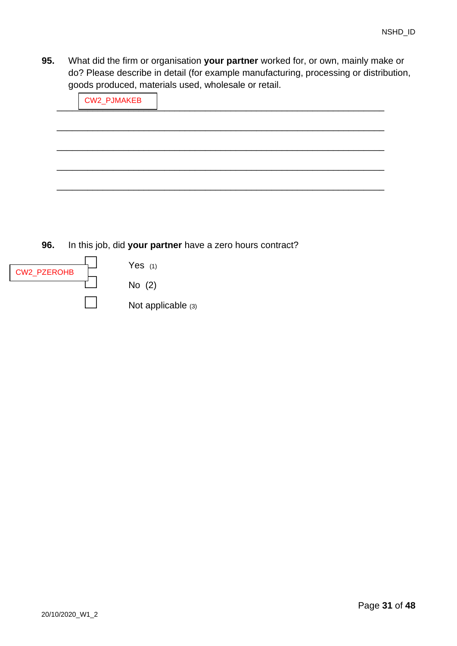**95.** What did the firm or organisation **your partner** worked for, or own, mainly make or do? Please describe in detail (for example manufacturing, processing or distribution, goods produced, materials used, wholesale or retail.

| CW2_PJMAKEB |  |  |
|-------------|--|--|
|             |  |  |
|             |  |  |
|             |  |  |
|             |  |  |
|             |  |  |

**96.** In this job, did **your partner** have a zero hours contract?

| CW2_PZEROHB | Yes $(1)$          |
|-------------|--------------------|
|             | No $(2)$           |
|             | Not applicable (3) |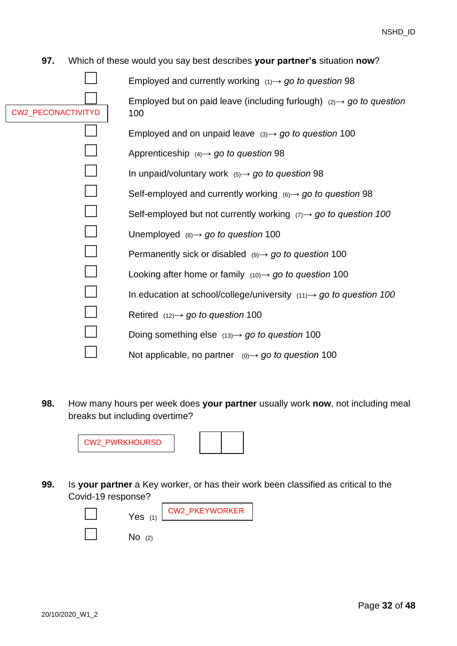#### <span id="page-31-0"></span>**97.** Which of these would you say best describes **your partner's** situation **now**?

|                           | Employed and currently working $(1) \rightarrow g_0$ to question 98                   |
|---------------------------|---------------------------------------------------------------------------------------|
|                           | Employed but on paid leave (including furlough) $(2) \rightarrow g\sigma$ to question |
| <b>CW2 PECONACTIVITYD</b> | 100                                                                                   |
|                           | Employed and on unpaid leave $(3) \rightarrow g_0$ to question 100                    |
|                           | Apprenticeship $(4) \rightarrow go$ to question 98                                    |
|                           | In unpaid/voluntary work $(5) \rightarrow$ go to question 98                          |
|                           | Self-employed and currently working $(6) \rightarrow$ go to question 98               |
|                           | Self-employed but not currently working $(7) \rightarrow 90$ to question 100          |
|                           | Unemployed $(8) \rightarrow go$ to question 100                                       |
|                           | Permanently sick or disabled $(9) \rightarrow go$ to question 100                     |
|                           | Looking after home or family $(10) \rightarrow$ go to question 100                    |
|                           | In education at school/college/university $(11) \rightarrow$ go to question 100       |
|                           | Retired $(12) \rightarrow$ go to question 100                                         |
|                           | Doing something else $(13) \rightarrow$ go to question 100                            |
|                           | Not applicable, no partner $(0) \rightarrow go$ to question 100                       |
|                           |                                                                                       |

<span id="page-31-1"></span>**98.** How many hours per week does **your partner** usually work **now**, not including meal breaks but including overtime?



**99.** Is **your partner** a Key worker, or has their work been classified as critical to the Covid-19 response?

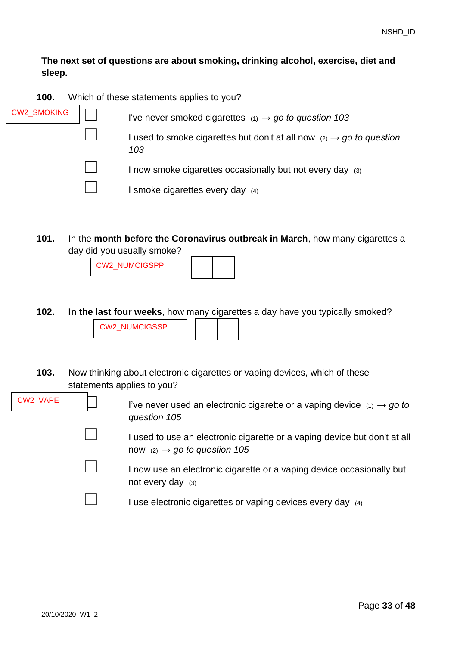## **The next set of questions are about smoking, drinking alcohol, exercise, diet and sleep.**

<span id="page-32-0"></span>

| <b>CW2_SMOKING</b> | I've never smoked cigarettes $(1) \rightarrow go$ to question 103                       |
|--------------------|-----------------------------------------------------------------------------------------|
|                    | I used to smoke cigarettes but don't at all now $(2) \rightarrow go$ to question<br>103 |
|                    | I now smoke cigarettes occasionally but not every day (3)                               |
|                    | I smoke cigarettes every day (4)                                                        |

**101.** In the **month before the Coronavirus outbreak in March**, how many cigarettes a day did you usually smoke?

CW2\_NUMCIGSPP

- **102. In the last four weeks**, how many cigarettes a day have you typically smoked? CW2\_NUMCIGSSP
- <span id="page-32-1"></span>**103.** Now thinking about electronic cigarettes or vaping devices, which of these statements applies to you?

CW2\_VAPE

I've never used an electronic cigarette or a vaping device  $(1) \rightarrow go$  to *question [105](#page-33-0)*

I used to use an electronic cigarette or a vaping device but don't at all now  $(2) \rightarrow go$  to question [105](#page-33-0)

I now use an electronic cigarette or a vaping device occasionally but not every day (3)

I use electronic cigarettes or vaping devices every day (4)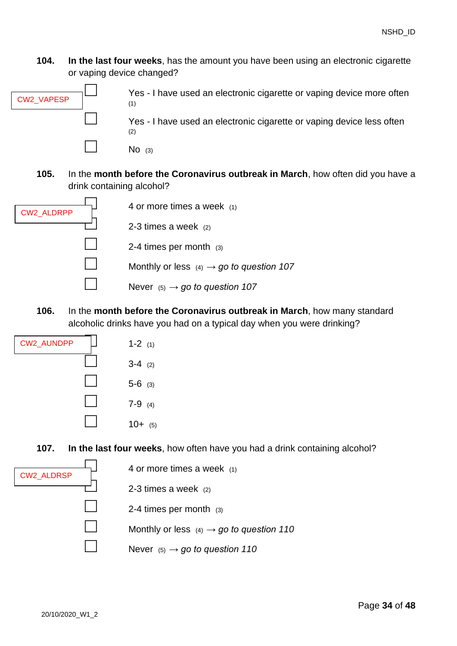**104. In the last four weeks**, has the amount you have been using an electronic cigarette or vaping device changed?



Yes - I have used an electronic cigarette or vaping device more often (1)

Yes - I have used an electronic cigarette or vaping device less often (2)

□ No (3)

<span id="page-33-0"></span>**105.** In the **month before the Coronavirus outbreak in March**, how often did you have a drink containing alcohol?



**106.** In the **month before the Coronavirus outbreak in March**, how many standard alcoholic drinks have you had on a typical day when you were drinking?



<span id="page-33-1"></span>**107. In the last four weeks**, how often have you had a drink containing alcohol?

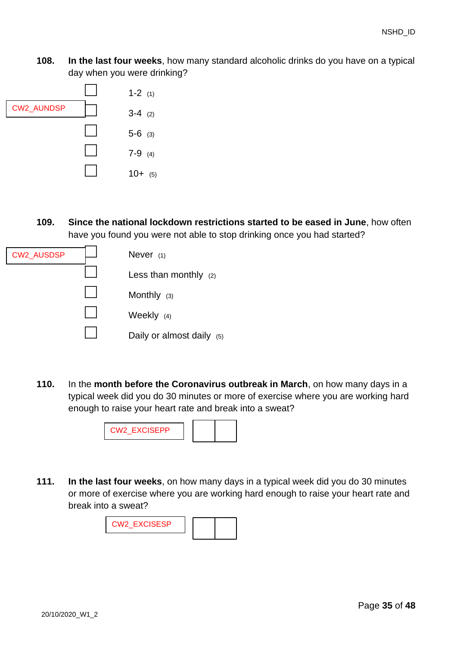**108. In the last four weeks**, how many standard alcoholic drinks do you have on a typical day when you were drinking?



**109. Since the national lockdown restrictions started to be eased in June**, how often have you found you were not able to stop drinking once you had started?

| <b>CW2_AUSDSP</b> | Never $(1)$                  |
|-------------------|------------------------------|
|                   | Less than monthly $(2)$      |
|                   | Monthly $(3)$                |
|                   | Weekly $(4)$                 |
|                   | Daily or almost daily<br>(5) |

<span id="page-34-0"></span>**110.** In the **month before the Coronavirus outbreak in March**, on how many days in a typical week did you do 30 minutes or more of exercise where you are working hard enough to raise your heart rate and break into a sweat?



**111. In the last four weeks**, on how many days in a typical week did you do 30 minutes or more of exercise where you are working hard enough to raise your heart rate and break into a sweat?

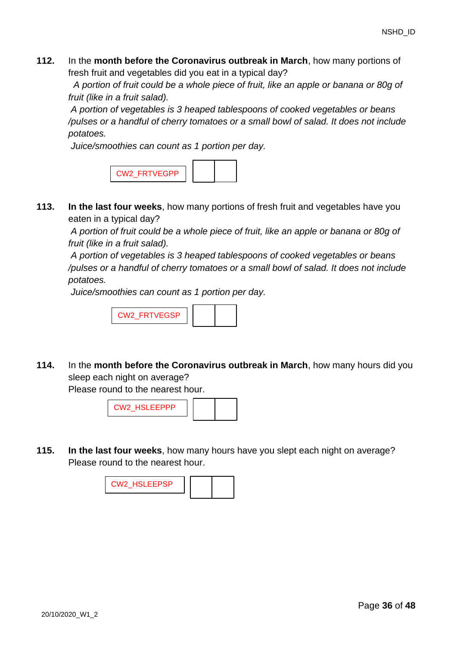**112.** In the **month before the Coronavirus outbreak in March**, how many portions of fresh fruit and vegetables did you eat in a typical day?

*A portion of fruit could be a whole piece of fruit, like an apple or banana or 80g of fruit (like in a fruit salad).*

*A portion of vegetables is 3 heaped tablespoons of cooked vegetables or beans /pulses or a handful of cherry tomatoes or a small bowl of salad. It does not include potatoes.*

*Juice/smoothies can count as 1 portion per day.*



**113. In the last four weeks**, how many portions of fresh fruit and vegetables have you eaten in a typical day?

*A portion of fruit could be a whole piece of fruit, like an apple or banana or 80g of fruit (like in a fruit salad).*

*A portion of vegetables is 3 heaped tablespoons of cooked vegetables or beans /pulses or a handful of cherry tomatoes or a small bowl of salad. It does not include potatoes.*

*Juice/smoothies can count as 1 portion per day.*



**114.** In the **month before the Coronavirus outbreak in March**, how many hours did you sleep each night on average?

Please round to the nearest hour.



**115. In the last four weeks**, how many hours have you slept each night on average? Please round to the nearest hour.

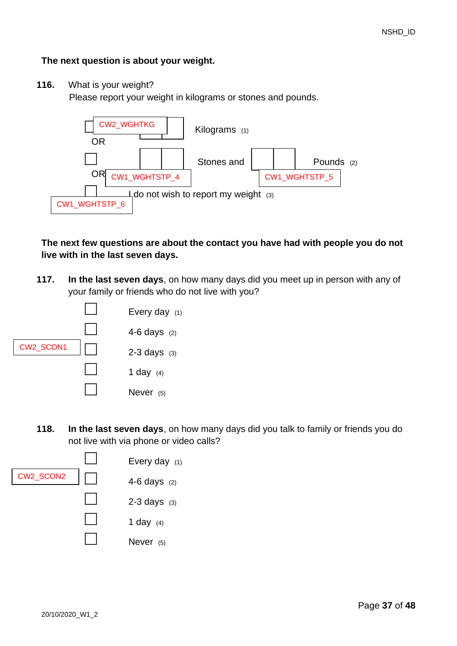### **The next question is about your weight.**

**116.** What is your weight?

Please report your weight in kilograms or stones and pounds.



**The next few questions are about the contact you have had with people you do not live with in the last seven days.**

**117. In the last seven days**, on how many days did you meet up in person with any of your family or friends who do not live with you?



**118. In the last seven days**, on how many days did you talk to family or friends you do not live with via phone or video calls?

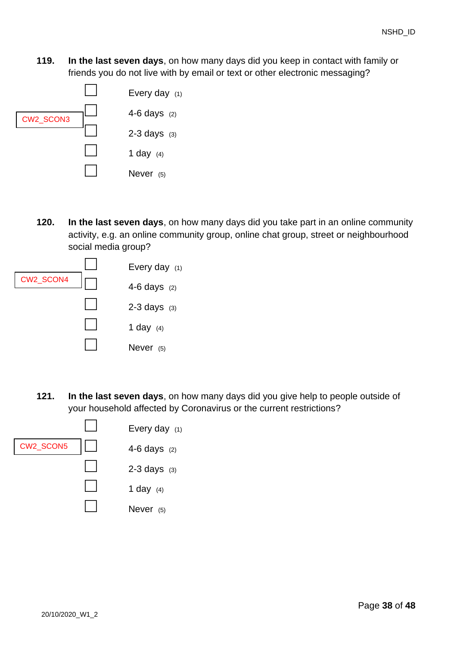**119. In the last seven days**, on how many days did you keep in contact with family or friends you do not live with by email or text or other electronic messaging?



**120. In the last seven days**, on how many days did you take part in an online community activity, e.g. an online community group, online chat group, street or neighbourhood social media group?



**121. In the last seven days**, on how many days did you give help to people outside of your household affected by Coronavirus or the current restrictions?

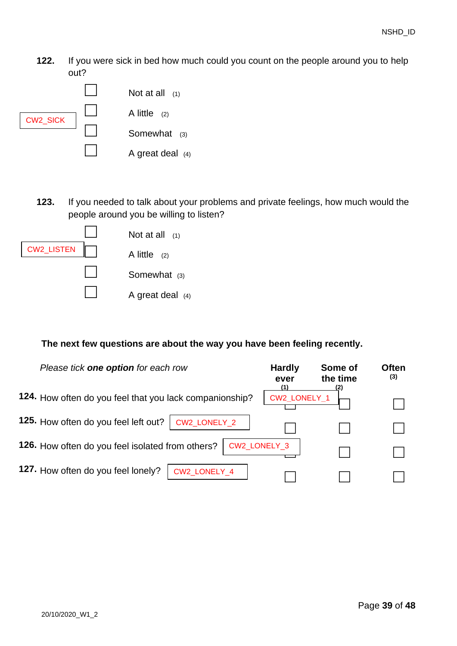**122.** If you were sick in bed how much could you count on the people around you to help out?



**123.** If you needed to talk about your problems and private feelings, how much would the people around you be willing to listen?



### **The next few questions are about the way you have been feeling recently.**

| Please tick one option for each row                     | <b>Hardly</b><br>ever<br>(1) | Some of<br>the time<br>(2) | <b>Often</b><br>(3) |
|---------------------------------------------------------|------------------------------|----------------------------|---------------------|
| 124. How often do you feel that you lack companionship? | CW2_LONELY_1                 |                            |                     |
| 125. How often do you feel left out?<br>CW2_LONELY_2    |                              |                            |                     |
| <b>126.</b> How often do you feel isolated from others? | CW2_LONELY_3                 |                            |                     |
| 127. How often do you feel lonely?<br>CW2_LONELY_4      |                              |                            |                     |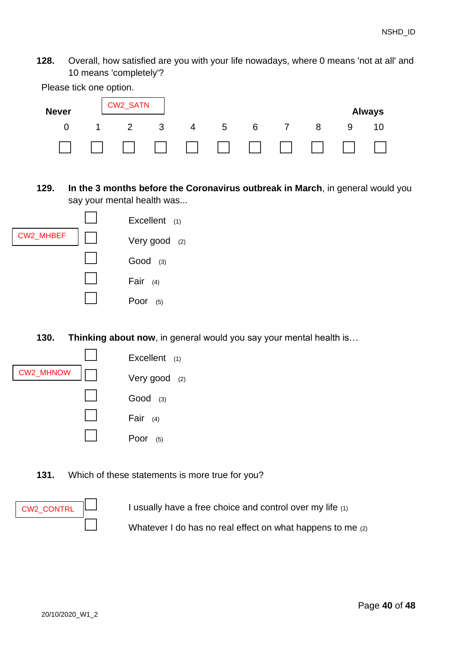**128.** Overall, how satisfied are you with your life nowadays, where 0 means 'not at all' and 10 means 'completely'?



**129. In the 3 months before the Coronavirus outbreak in March**, in general would you say your mental health was...



**130. Thinking about now**, in general would you say your mental health is…



**131.** Which of these statements is more true for you?



I usually have a free choice and control over my life (1)

Whatever I do has no real effect on what happens to me  $(2)$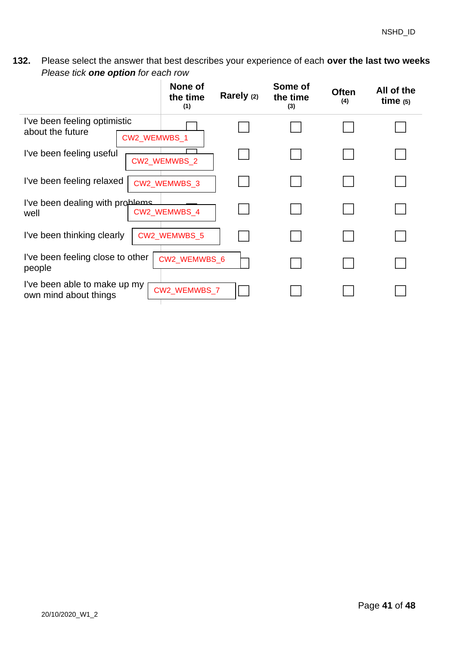**132.** Please select the answer that best describes your experience of each **over the last two weeks** *Please tick one option for each row*

|                                                       |              | None of<br>the time<br>(1) | Rarely (2) | Some of<br>the time<br>(3) | <b>Often</b><br>(4) | All of the<br>time $(5)$ |
|-------------------------------------------------------|--------------|----------------------------|------------|----------------------------|---------------------|--------------------------|
| I've been feeling optimistic<br>about the future      | CW2_WEMWBS_1 |                            |            |                            |                     |                          |
| I've been feeling useful                              |              | CW2_WEMWBS_2               |            |                            |                     |                          |
| I've been feeling relaxed                             |              | CW2_WEMWBS_3               |            |                            |                     |                          |
| I've been dealing with problems<br>well               |              | CW2 WEMWBS 4               |            |                            |                     |                          |
| I've been thinking clearly                            |              | CW2_WEMWBS_5               |            |                            |                     |                          |
| I've been feeling close to other<br>people            |              | CW2_WEMWBS_6               |            |                            |                     |                          |
| I've been able to make up my<br>own mind about things |              | CW2_WEMWBS_7               |            |                            |                     |                          |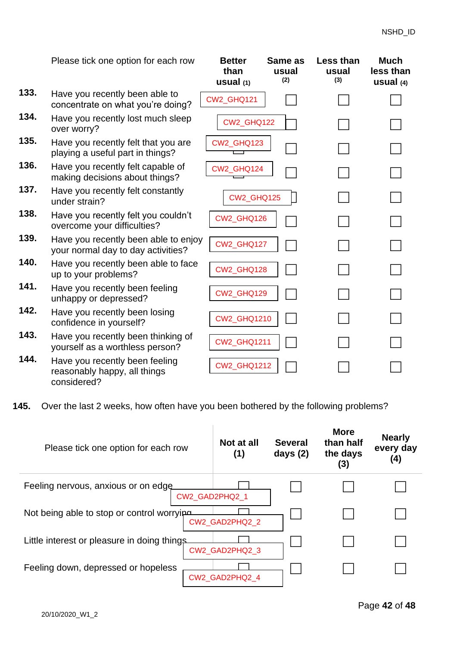|      | Please tick one option for each row                                        | <b>Better</b><br>than<br>usual <sub>(1)</sub> | Same as<br>usual<br>(2) | Less than<br>usual<br>(3) | <b>Much</b><br>less than<br>usual $(4)$ |
|------|----------------------------------------------------------------------------|-----------------------------------------------|-------------------------|---------------------------|-----------------------------------------|
| 133. | Have you recently been able to<br>concentrate on what you're doing?        | CW2_GHQ121                                    |                         |                           |                                         |
| 134. | Have you recently lost much sleep<br>over worry?                           | <b>CW2 GHQ122</b>                             |                         |                           |                                         |
| 135. | Have you recently felt that you are<br>playing a useful part in things?    | <b>CW2_GHQ123</b>                             |                         |                           |                                         |
| 136. | Have you recently felt capable of<br>making decisions about things?        | CW2_GHQ124                                    |                         |                           |                                         |
| 137. | Have you recently felt constantly<br>under strain?                         | CW2_GHQ125                                    |                         |                           |                                         |
| 138. | Have you recently felt you couldn't<br>overcome your difficulties?         | CW2_GHQ126                                    |                         |                           |                                         |
| 139. | Have you recently been able to enjoy<br>your normal day to day activities? | CW2_GHQ127                                    |                         |                           |                                         |
| 140. | Have you recently been able to face<br>up to your problems?                | CW2_GHQ128                                    |                         |                           |                                         |
| 141. | Have you recently been feeling<br>unhappy or depressed?                    | CW2_GHQ129                                    |                         |                           |                                         |
| 142. | Have you recently been losing<br>confidence in yourself?                   | <b>CW2_GHQ1210</b>                            |                         |                           |                                         |
| 143. | Have you recently been thinking of<br>yourself as a worthless person?      | <b>CW2_GHQ1211</b>                            |                         |                           |                                         |
| 144. | Have you recently been feeling<br>reasonably happy, all things             | <b>CW2_GHQ1212</b>                            |                         |                           |                                         |

**145.** Over the last 2 weeks, how often have you been bothered by the following problems?

| Please tick one option for each row         | Not at all<br>(1) | <b>Several</b><br>days $(2)$ | <b>More</b><br>than half<br>the days<br>(3) | <b>Nearly</b><br>every day<br>(4) |
|---------------------------------------------|-------------------|------------------------------|---------------------------------------------|-----------------------------------|
| Feeling nervous, anxious or on edge         | CW2 GAD2PHQ2 1    |                              |                                             |                                   |
| Not being able to stop or control worryipe  | CW2 GAD2PHQ2 2    |                              |                                             |                                   |
| Little interest or pleasure in doing things | CW2_GAD2PHQ2_3    |                              |                                             |                                   |
| Feeling down, depressed or hopeless         | CW2 GAD2PHQ2 4    |                              |                                             |                                   |

considered?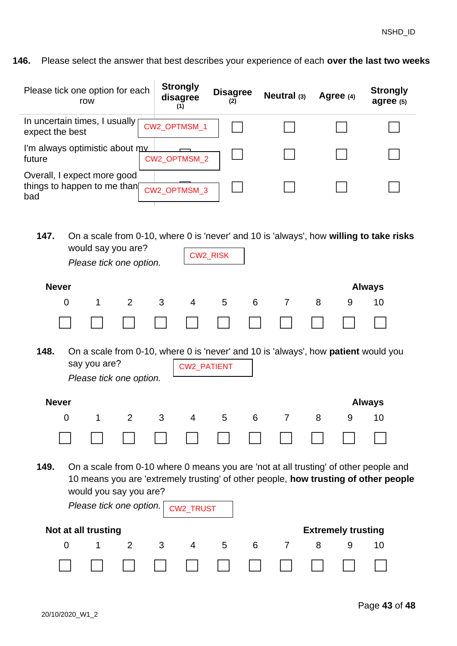**146.** Please select the answer that best describes your experience of each **over the last two weeks**

| Please tick one option for each                                                                                                                                                                                                                       | row |                | <b>Strongly</b><br>disagree<br>(1) | <b>Disagree</b><br>(2) |   | Neutral (3)    |   | Agree (4)                 | <b>Strongly</b><br>agree (5) |
|-------------------------------------------------------------------------------------------------------------------------------------------------------------------------------------------------------------------------------------------------------|-----|----------------|------------------------------------|------------------------|---|----------------|---|---------------------------|------------------------------|
| In uncertain times, I usually<br>expect the best                                                                                                                                                                                                      |     |                | CW2_OPTMSM_1                       |                        |   |                |   |                           |                              |
| I'm always optimistic about my<br>future                                                                                                                                                                                                              |     |                | CW2 OPTMSM 2                       |                        |   |                |   |                           |                              |
| Overall, I expect more good<br>things to happen to me than<br>bad                                                                                                                                                                                     |     |                | CW2_OPTMSM_3                       |                        |   |                |   |                           |                              |
| 147.<br>On a scale from 0-10, where 0 is 'never' and 10 is 'always', how willing to take risks<br>would say you are?<br>CW2_RISK<br>Please tick one option.                                                                                           |     |                |                                    |                        |   |                |   |                           |                              |
| <b>Never</b>                                                                                                                                                                                                                                          |     |                |                                    |                        |   |                |   |                           | <b>Always</b>                |
| $\overline{0}$                                                                                                                                                                                                                                        | 1   | 2              | 3<br>$\overline{4}$                | 5                      | 6 | 7              | 8 | 9                         | 10                           |
|                                                                                                                                                                                                                                                       |     |                |                                    |                        |   |                |   |                           |                              |
| 148.<br>On a scale from 0-10, where 0 is 'never' and 10 is 'always', how <b>patient</b> would you<br>say you are?<br><b>CW2_PATIENT</b><br>Please tick one option.                                                                                    |     |                |                                    |                        |   |                |   |                           |                              |
| <b>Never</b>                                                                                                                                                                                                                                          |     |                |                                    |                        |   |                |   |                           | <b>Always</b>                |
| 0                                                                                                                                                                                                                                                     | 1   | 2              | 3<br>4                             | 5                      | 6 | 7              | 8 | 9                         | 10                           |
|                                                                                                                                                                                                                                                       |     |                |                                    |                        |   |                |   |                           |                              |
| 149.<br>On a scale from 0-10 where 0 means you are 'not at all trusting' of other people and<br>10 means you are 'extremely trusting' of other people, how trusting of other people<br>would you say you are?<br>Please tick one option.<br>CW2_TRUST |     |                |                                    |                        |   |                |   |                           |                              |
| Not at all trusting                                                                                                                                                                                                                                   |     |                |                                    |                        |   |                |   | <b>Extremely trusting</b> |                              |
| $\overline{0}$                                                                                                                                                                                                                                        | 1   | $\overline{2}$ | 3<br>4                             | 5                      | 6 | $\overline{7}$ | 8 | 9                         | 10                           |
|                                                                                                                                                                                                                                                       |     |                |                                    |                        |   |                |   |                           |                              |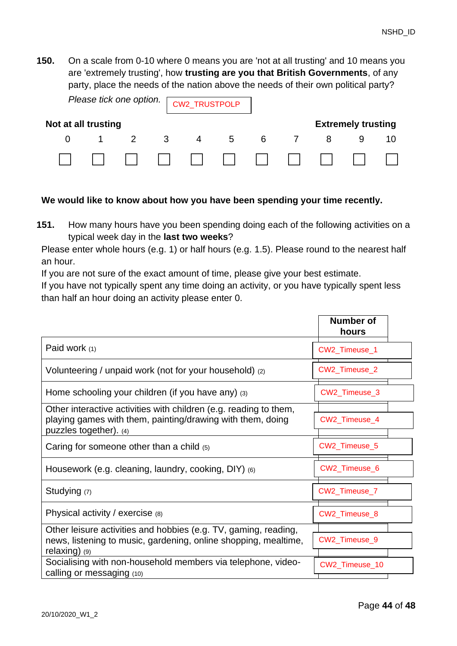**150.** On a scale from 0-10 where 0 means you are 'not at all trusting' and 10 means you are 'extremely trusting', how **trusting are you that British Governments**, of any party, place the needs of the nation above the needs of their own political party?

| Please tick one option. CW2_TRUSTPOLP |  |  |          |                |   |     |                |                           |  |
|---------------------------------------|--|--|----------|----------------|---|-----|----------------|---------------------------|--|
| Not at all trusting                   |  |  |          |                |   |     |                | <b>Extremely trusting</b> |  |
|                                       |  |  | $\sim$ 3 | $\overline{4}$ | 5 | - 6 | $\overline{7}$ |                           |  |
|                                       |  |  |          |                |   |     |                |                           |  |

#### **We would like to know about how you have been spending your time recently.**

**151.** How many hours have you been spending doing each of the following activities on a typical week day in the **last two weeks**?

Please enter whole hours (e.g. 1) or half hours (e.g. 1.5). Please round to the nearest half an hour.

If you are not sure of the exact amount of time, please give your best estimate.

If you have not typically spent any time doing an activity, or you have typically spent less than half an hour doing an activity please enter 0.

|                                                                                                                                                           | <b>Number of</b><br>hours |
|-----------------------------------------------------------------------------------------------------------------------------------------------------------|---------------------------|
| Paid work (1)                                                                                                                                             | CW2_Timeuse_1             |
| Volunteering / unpaid work (not for your household) (2)                                                                                                   | CW2_Timeuse_2             |
| Home schooling your children (if you have any) (3)                                                                                                        | CW2_Timeuse_3             |
| Other interactive activities with children (e.g. reading to them,<br>playing games with them, painting/drawing with them, doing<br>puzzles together). (4) | CW2_Timeuse_4             |
| Caring for someone other than a child $(5)$                                                                                                               | CW2_Timeuse_5             |
| Housework (e.g. cleaning, laundry, cooking, DIY) (6)                                                                                                      | CW2_Timeuse_6             |
| Studying (7)                                                                                                                                              | CW2_Timeuse_7             |
| Physical activity / exercise $(8)$                                                                                                                        | CW2_Timeuse_8             |
| Other leisure activities and hobbies (e.g. TV, gaming, reading,<br>news, listening to music, gardening, online shopping, mealtime,<br>relaxing) $(9)$     | CW2_Timeuse_9             |
| Socialising with non-household members via telephone, video-<br>calling or messaging (10)                                                                 | CW2_Timeuse_10            |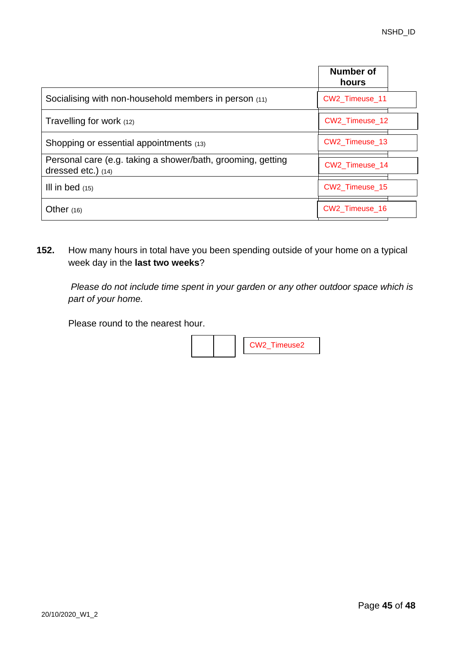|                                                                                   | Number of<br>hours |
|-----------------------------------------------------------------------------------|--------------------|
| Socialising with non-household members in person (11)                             | CW2 Timeuse 11     |
| Travelling for work (12)                                                          | CW2 Timeuse 12     |
| Shopping or essential appointments (13)                                           | CW2 Timeuse 13     |
| Personal care (e.g. taking a shower/bath, grooming, getting<br>dressed etc.) (14) | CW2 Timeuse 14     |
| III in bed $(15)$                                                                 | CW2 Timeuse 15     |
| Other $(16)$                                                                      | CW2 Timeuse 16     |

**152.** How many hours in total have you been spending outside of your home on a typical week day in the **last two weeks**?

*Please do not include time spent in your garden or any other outdoor space which is part of your home.*

Please round to the nearest hour.

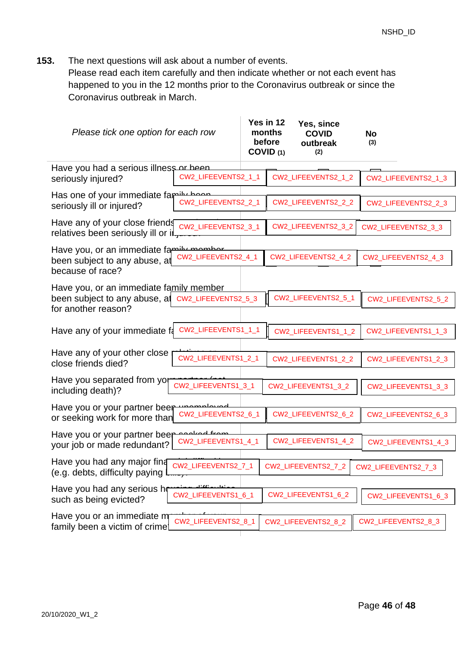**153.** The next questions will ask about a number of events.

Please read each item carefully and then indicate whether or not each event has happened to you in the 12 months prior to the Coronavirus outbreak or since the Coronavirus outbreak in March.

| Please tick one option for each row                                                                                 |                                    | Yes in 12<br>months<br>before<br>COVID (1) | Yes, since<br><b>COVID</b><br>outbreak<br>(2) | <b>No</b><br>(3) |                     |
|---------------------------------------------------------------------------------------------------------------------|------------------------------------|--------------------------------------------|-----------------------------------------------|------------------|---------------------|
| Have you had a serious illness or been<br>CW2_LIFEEVENTS2_1_1<br>seriously injured?                                 |                                    |                                            | CW2_LIFEEVENTS2_1_2                           |                  | CW2_LIFEEVENTS2_1_3 |
| Has one of your immediate family have<br>seriously ill or injured?                                                  | CW2_LIFEEVENTS2_2_1                |                                            | CW2_LIFEEVENTS2_2_2                           |                  | CW2_LIFEEVENTS2_2_3 |
| Have any of your close friends<br>relatives been seriously ill or il.                                               | CW2_LIFEEVENTS2_3_1                |                                            | CW2_LIFEEVENTS2_3_2                           |                  | CW2_LIFEEVENTS2_3_3 |
| Have you, or an immediate family mombor<br>been subject to any abuse, at<br>because of race?                        | CW2_LIFEEVENTS2_4_1                |                                            | CW2_LIFEEVENTS2_4_2                           |                  | CW2_LIFEEVENTS2_4_3 |
| Have you, or an immediate family member<br>been subject to any abuse, at CW2_LIFEEVENTS2_5_3<br>for another reason? |                                    |                                            | CW2_LIFEEVENTS2_5_1                           |                  | CW2_LIFEEVENTS2_5_2 |
| Have any of your immediate fa                                                                                       | CW2_LIFEEVENTS1_1_1                |                                            | CW2_LIFEEVENTS1_1_2                           |                  | CW2_LIFEEVENTS1_1_3 |
| Have any of your other close<br>close friends died?                                                                 | CW2_LIFEEVENTS1_2_1                |                                            | CW2_LIFEEVENTS1_2_2                           |                  | CW2_LIFEEVENTS1_2_3 |
| Have you separated from yor<br>including death)?                                                                    | CW2_LIFEEVENTS1_3_1                |                                            | CW2_LIFEEVENTS1_3_2                           |                  | CW2_LIFEEVENTS1_3_3 |
| Have you or your partner beer<br>or seeking work for more than                                                      | مصبملمصمصيب<br>CW2_LIFEEVENTS2_6_1 |                                            | CW2_LIFEEVENTS2_6_2                           |                  | CW2_LIFEEVENTS2_6_3 |
| Have you or your partner beer<br>your job or made redundant?                                                        | لممتلمهم<br>CW2_LIFEEVENTS1_4_1    |                                            | CW2_LIFEEVENTS1_4_2                           |                  | CW2_LIFEEVENTS1_4_3 |
| Have you had any major fina<br>(e.g. debts, difficulty paying                                                       | CW2_LIFEEVENTS2_7_1                |                                            | CW2_LIFEEVENTS2_7_2                           |                  | CW2_LIFEEVENTS2_7_3 |
| Have you had any serious ho<br>such as being evicted?                                                               | CW2_LIFEEVENTS1_6_1                |                                            | CW2_LIFEEVENTS1_6_2                           |                  | CW2_LIFEEVENTS1_6_3 |
| Have you or an immediate m<br>family been a victim of crime!                                                        | CW2_LIFEEVENTS2_8_1                |                                            | CW2_LIFEEVENTS2_8_2                           |                  | CW2_LIFEEVENTS2_8_3 |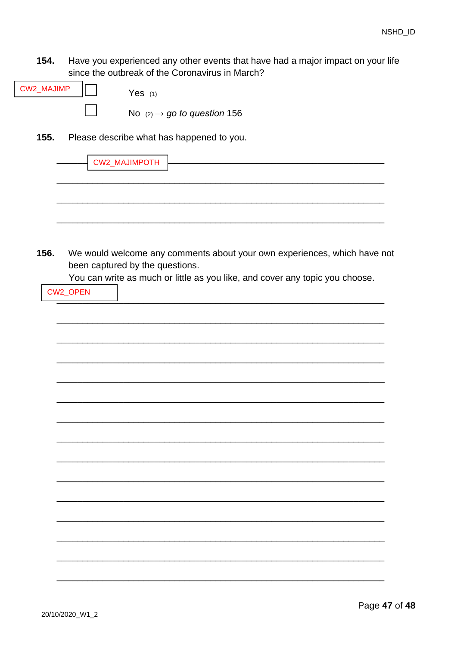154. Have you experienced any other events that have had a major impact on your life since the outbreak of the Coronavirus in March?

| <b>CW2_MAJIMP</b>                                 |  | Yes $(1)$                               |  |  |  |  |
|---------------------------------------------------|--|-----------------------------------------|--|--|--|--|
|                                                   |  | No $(2) \rightarrow$ go to question 156 |  |  |  |  |
| 155.<br>Please describe what has happened to you. |  |                                         |  |  |  |  |
|                                                   |  | <b>CW2_MAJIMPOTH</b>                    |  |  |  |  |
|                                                   |  |                                         |  |  |  |  |
|                                                   |  |                                         |  |  |  |  |

<span id="page-46-0"></span>156. We would welcome any comments about your own experiences, which have not been captured by the questions.

You can write as much or little as you like, and cover any topic you choose.

| CW2_OPEN |  |  |  |
|----------|--|--|--|
|          |  |  |  |
|          |  |  |  |
|          |  |  |  |
|          |  |  |  |
|          |  |  |  |
|          |  |  |  |
|          |  |  |  |
|          |  |  |  |
|          |  |  |  |
|          |  |  |  |
|          |  |  |  |
|          |  |  |  |
|          |  |  |  |
|          |  |  |  |
|          |  |  |  |
|          |  |  |  |
|          |  |  |  |